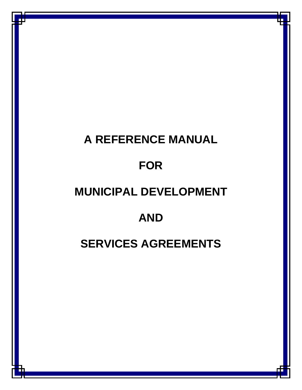# **A REFERENCE MANUAL FOR MUNICIPAL DEVELOPMENT AND SERVICES AGREEMENTS**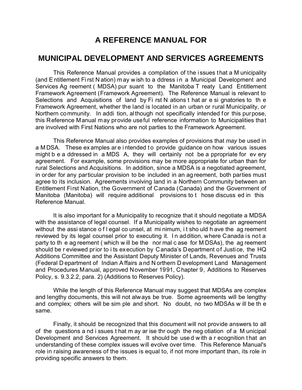# **A REFERENCE MANUAL FOR**

# **MUNICIPAL DEVELOPMENT AND SERVICES AGREEMENTS**

This Reference Manual provides a compilation of the issues that a M unicipality (and E ntitlement Fi rst N ation) m ay w ish to a ddress i n a Municipal Development and Services Ag reement ( MDSA) pur suant to the Manitoba T reaty Land Entitlement Framework Agreement (Framework Agreement). The Reference Manual is relevant to Selections and Acquisitions of land by Fi rst N ations t hat ar e si gnatories to th e Framework Agreement, whether the land is located in an urban or rural Municipality, or Northern community. In addi tion, although not specifically intended for this purpose, this Reference Manual may provide useful reference information to Municipalities that are involved with First Nations who are not parties to the Framework Agreement.

This Reference Manual also provides examples of provisions that *may* be used in a M DSA. These examples are intended to provide guidance on how various issues might b e a ddressed in a MDS A, they will certainly not be a ppropriate for ev ery agreement. For example, some provisions may be more appropriate for urban than for rural Selections and Acquisitions. In addition, since a MDSA is a negotiated agreement, in order for any particular provision to be included in an ag reement, both parties must agree to its inclusion. Agreements involving land in a Northern Community between an Entitlement First Nation, the Government of Canada (Canada) and the Government of Manitoba (Manitoba) will require additional provisions to t hose discuss ed in this Reference Manual.

It is also important for a Municipality to recognize that it should negotiate a MDSA with the assistance of legal counsel. If a Municipality wishes to negotiate an agreement without the assi stance of I egal co unsel, at mi nimum, it sho uld h ave the ag reement reviewed by its legal counsel prior to executing it. In addition, where Canada is not a party to th e ag reement ( which w ill be the nor mal c ase for M DSAs), the ag reement should be r eviewed prior to i ts execution by Canada's Department of Justice, the HQ Additions Committee and the Assistant Deputy Minister of Lands, Revenues and Trusts (Federal D epartment of Indian A ffairs a nd N orthern D evelopment Land Management and Procedures Manual, approved November 1991, Chapter 9, Additions to Reserves Policy, s. 9.3.2.2, para. 2) (Additions to Reserves Policy).

While the length of this Reference Manual may suggest that MDSAs are complex and lengthy documents, this will not always be true. Some agreements will be lengthy and complex; others will be sim ple and short. No doubt, no two MDSAs w ill be th e same.

Finally, it should be recognized that this document will not provide answers to all of the questions a nd i ssues t hat m ay ar ise thr ough the neg otiation of a M unicipal Development and Services Agreement. It should be use d w ith a r ecognition t hat an understanding of these complex issues will evolve over time. This Reference Manual's role in raising awareness of the issues is equal to, if not more important than, its role in providing specific answers to them.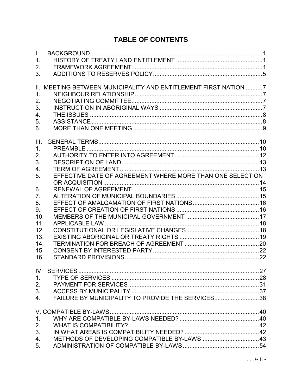# **TABLE OF CONTENTS**

| $\mathbf{L}$     |                                                                 |  |
|------------------|-----------------------------------------------------------------|--|
| $\mathbf{1}$ .   |                                                                 |  |
| 2.               |                                                                 |  |
| 3.               |                                                                 |  |
|                  |                                                                 |  |
|                  | II. MEETING BETWEEN MUNICIPALITY AND ENTITLEMENT FIRST NATION 7 |  |
| 1.               |                                                                 |  |
| 2.               |                                                                 |  |
| 3.               |                                                                 |  |
| 4.               |                                                                 |  |
| 5.               |                                                                 |  |
| 6.               |                                                                 |  |
|                  |                                                                 |  |
| III.             |                                                                 |  |
| 1.               |                                                                 |  |
| 2.               |                                                                 |  |
| 3.               |                                                                 |  |
| $\overline{4}$ . |                                                                 |  |
| 5.               | EFFECTIVE DATE OF AGREEMENT WHERE MORE THAN ONE SELECTION       |  |
|                  |                                                                 |  |
| 6.               |                                                                 |  |
| 7 <sub>1</sub>   |                                                                 |  |
| 8.               |                                                                 |  |
| 9.               |                                                                 |  |
| 10.              |                                                                 |  |
| 11.              |                                                                 |  |
| 12.              |                                                                 |  |
| 13.              |                                                                 |  |
| 14.              |                                                                 |  |
| 15.              |                                                                 |  |
| 16.              |                                                                 |  |
|                  | IV. SERVICES                                                    |  |
| 1.               |                                                                 |  |
| 2.               |                                                                 |  |
| 3.               |                                                                 |  |
| 4.               | FAILURE BY MUNICIPALITY TO PROVIDE THE SERVICES38               |  |
|                  |                                                                 |  |
|                  |                                                                 |  |
| 1.               |                                                                 |  |
| 2.               |                                                                 |  |
| 3.               |                                                                 |  |
| 4.               |                                                                 |  |
| 5.               |                                                                 |  |
|                  |                                                                 |  |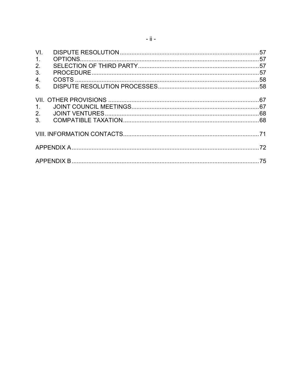| VI.            |  |  |
|----------------|--|--|
| $\mathbf{1}$ . |  |  |
| 2.             |  |  |
| 3.             |  |  |
| 4.             |  |  |
| 5 <sub>1</sub> |  |  |
|                |  |  |
|                |  |  |
| $\mathbf{1}$ . |  |  |
| 2 <sub>1</sub> |  |  |
| 3 <sub>1</sub> |  |  |
|                |  |  |
|                |  |  |
|                |  |  |
|                |  |  |
|                |  |  |
|                |  |  |
|                |  |  |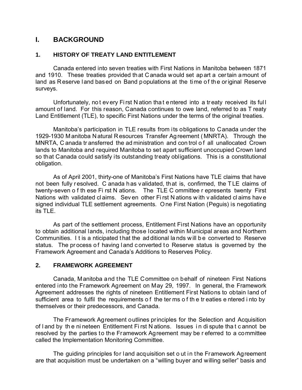## **I. BACKGROUND**

## **1. HISTORY OF TREATY LAND ENTITLEMENT**

Canada entered into seven treaties with First Nations in Manitoba between 1871 and 1910. These treaties provided that Canada would set apart a certain amount of land as Reserve land based on Band populations at the time of the original Reserve surveys.

Unfortunately, no t ev ery Fi rst N ation tha t e ntered into a tr eaty received its ful l amount of land. For this reason, Canada continues to owe land, referred to as T reaty Land Entitlement (TLE), to specific First Nations under the terms of the original treaties.

Manitoba's participation in TLE results from its obligations to Canada under the 1929-1930 M anitoba N atural R esources Transfer Ag reement ( MNRTA). Through the MNRTA, C anada tr ansferred the ad ministration and con trol of all unallocated Crown lands to Manitoba and required Manitoba to set apart sufficient unoccupied Crown land so that Canada could satisfy its outstanding treaty obligations. This is a constitutional obligation.

As of April 2001, thirty-one of Manitoba's First Nations have TLE claims that have not been fully resolved. C anada has validated, that is, confirmed, the T LE claims of twenty-seven o f th ese Fi rst N ations. The TLE C ommittee r epresents twenty First Nations with validated cl aims. Sev en other Fi rst N ations w ith v alidated cl aims hav e signed individual TLE settlement agreements. One First Nation (Peguis) is negotiating its TLE.

As part of the settlement process, Entitlement First Nations have an opportunity to obtain additional lands, including those located within Municipal areas and Northern Communities. It is a nticipated that the ad ditional lands will be converted to Reserve status. The process of having land converted to Reserve status is governed by the Framework Agreement and Canada's Additions to Reserves Policy.

## **2. FRAMEWORK AGREEMENT**

Canada, Manitoba and the TLE Committee on behalf of nineteen First Nations entered into the Framework Agreement on May 29, 1997. In general, the Framework Agreement addresses the rights of nineteen Entitlement First Nations to obtain land of sufficient area to fulfil the requirements of the terms of the treaties entered into by themselves or their predecessors, and Canada.

The Framework Agreement outlines principles for the Selection and Acquisition of l and by th e ni neteen Entitlement Fi rst N ations. Issues i n di spute tha t c annot be resolved by the parties to the Framework Agreement may be r eferred to a committee called the Implementation Monitoring Committee.

The guiding principles for land acquisition set o ut in the Framework Agreement are that acquisition must be undertaken on a "willing buyer and willing seller" basis and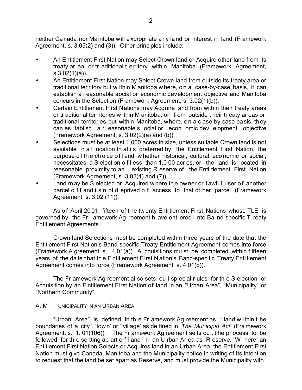neither Canada nor Manitoba will expropriate any land or interest in land (Framework Agreement, s. 3.05(2) and (3)). Other principles include:

- An Entitlement First Nation may Select Crown land or Acquire other land from its treaty ar ea or tr aditional t erritory within Manitoba (Framework Agreement, s.3.02(1)(a)).
- An Entitlement First Nation may Select Crown land from outside its treaty area or traditional ter ritory but w ithin M anitoba w here, o n a case-by-case basis, it can establish a r easonable social or economic development objective and Manitoba concurs in the Selection (Framework Agreement, s. 3.02(1)(b)).
- Certain Entitlement First Nations may Acquire land from within their treaty areas or tr aditional ter ritories w ithin M anitoba, or from outside t heir tr eaty ar eas or traditional territories but within Manitoba, where, on a c ase-by-case basis, they can es tablish a r easonable s ocial or econ omic dev elopment objective (Framework Agreement, s. 3.02(2)(a) and (b)).
- Selections must be at least 1,000 acres in size, unless suitable Crown land is not available i n a l ocation th at i s preferred by the Entitlement First Nation, the purpose of the choice of land, w hether historical, cultural, economic or social, necessitates a S election o f l ess than 1,0 00 acr es, or the land is located in reasonable proximity to an existing R eserve of the Enti tlement First Nation (Framework Agreement, s. 3.02(4) and (7)).
- Land may be S elected or Acquired where the owner or lawful user of another parcel o f l and i s n ot d eprived o f access to that ot her parcel (Framework Agreement, s. 3.02 (11)).

As of April 2001, fifteen of the twenty Entitlement First Nations whose TLE is governed by the Fr amework Ag reement h ave ent ered i nto Ba nd-specific T reaty Entitlement Agreements.

Crown land Selections must be completed within three years of the date that the Entitlement First Nation's Band-specific Treaty Entitlement Agreement comes into force (Framework A greement, s. 4.01(a)). A cquisitions mu st be completed within f ifteen years of the da te t hat th e E ntitlement Fi rst N ation's Band-specific Treaty Enti tlement Agreement comes into force (Framework Agreement, s. 4.01(b)).

The Fr amework Ag reement al so sets ou t sp ecial r ules for th e S election or Acquisition by an E ntitlement First Nation of land in an "Urban Area", "Municipality" or "Northern Community".

## A. M UNICIPALITY IN AN URBAN AREA

"Urban Area" is defined in th e Fr amework Ag reement as " land w ithin t he boundaries of a 'city ', 'tow n' or ' village' as de fined in *The Municipal Act*" (Fra mework Agreement, s. 1. 01(106)). The Fr amework Ag reement se ts ou t t he pr ocess to be followed for the se tting ap art of I and in an U rban Ar ea as R eserve. W here an Entitlement First Nation Selects or Acquires land in an Urban Area, the Entitlement First Nation must give Canada, Manitoba and the Municipality notice in writing of its intention to request that the land be set apart as Reserve, and must provide the Municipality with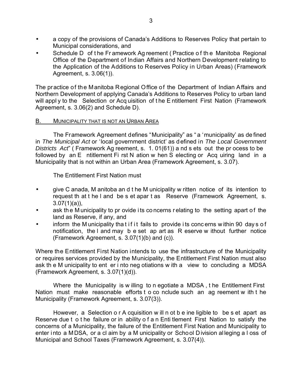- a copy of the provisions of Canada's Additions to Reserves Policy that pertain to Municipal considerations, and
- Schedule D of the Framework Ag reement (Practice of the Manitoba Regional Office of the Department of Indian Affairs and Northern Development relating to the Application of the Additions to Reserves Policy in Urban Areas) (Framework Agreement, s. 3.06(1)).

The practice of the Manitoba Regional Office of the Department of Indian Affairs and Northern Development of applying Canada's Additions to Reserves Policy to urban land will appl y to the Selection or Acq uisition of the Entitlement First Nation (Framework Agreement, s. 3.06(2) and Schedule D).

## B. MUNICIPALITY THAT IS NOT AN URBAN AREA

The Framework Agreement defines "Municipality" as " a 'municipality' as de fined in *The Municipal Act* or 'local government district' as defined in *The Local Government Districts Act*" ( Framework Ag reement, s. 1. 01(61)) a nd s ets out the pr ocess to be followed by an E ntitlement Fi rst N ation w hen S electing or Acq uiring land in a Municipality that is not within an Urban Area (Framework Agreement, s. 3.07).

The Entitlement First Nation must

- give C anada, M anitoba an d t he M unicipality w ritten notice of its intention to request th at t he l and be s et apar t as Reserve (Framework Agreement, s.  $3.07(1)(a)$ ,
- ask the M unicipality to pr ovide its concerns relating to the setting apart of the land as Reserve, if any, and
- inform the M unicipality that if it fails to provide its concerns within 90 days of notification, the l and may b e set ap art as R eserve w ithout further notice (Framework Agreement, s. 3.07(1)(b) and (c)).

Where the Entitlement First Nation intends to use the infrastructure of the Municipality or requires services provided by the Municipality, the Entitlement First Nation must also ask th e M unicipality to ent er i nto neg otiations w ith a view to concluding a MDSA (Framework Agreement, s. 3.07(1)(d)).

Where the Municipality is w illing to n egotiate a MDSA , t he Entitlement First Nation must make reasonable efforts t o co nclude such an ag reement w ith t he Municipality (Framework Agreement, s. 3.07(3)).

However, a Selection o r A cquisition w ill n ot b e ine ligible to be s et apart as Reserve due t o t he failure or in ability o f a n Enti tlement First Nation to satisfy the concerns of a Municipality, the failure of the Entitlement First Nation and Municipality to enter into a MDSA, or a cl aim by a M unicipality or School Division alleging a l oss of Municipal and School Taxes (Framework Agreement, s. 3.07(4)).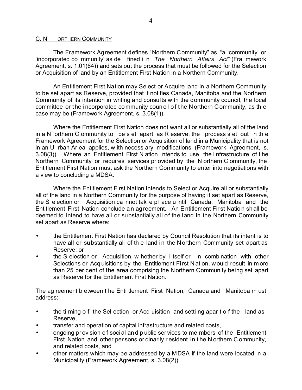#### C. N ORTHERN COMMUNITY

The Framework Agreement defines "Northern Community" as "a 'community' or 'incorporated co mmunity' as de fined i n *The Northern Affairs Act*" (Fra mework Agreement, s. 1.01(64)) and sets out the process that must be followed for the Selection or Acquisition of land by an Entitlement First Nation in a Northern Community.

An Entitlement First Nation may Select or Acquire land in a Northern Community to be set apart as Reserve, provided that it notifies Canada, Manitoba and the Northern Community of its intention in writing and consults with the community council, the local committee or the incorporated community coun cil of the N orthern C ommunity, as the case may be (Framework Agreement, s. 3.08(1)).

Where the Entitlement First Nation does not want all or substantially all of the land in a N orthern C ommunity to be s et apart as R eserve, the process s et out i n th e Framework Agreement for the Selection or Acquisition of land in a Municipality that is not in an U rban Ar ea applies, w ith necess ary modifications (Framework Agreement, s. 3.08(3)). Where an Entitlement First N ation i ntends to use the i nfrastructure of t he Northern Community or requires services pr ovided by the N orthern C ommunity, the Entitlement First Nation must ask the Northern Community to enter into negotiations with a view to concluding a MDSA.

Where the Entitlement First Nation intends to Select or Acquire all or substantially all of the land in a Northern Community for the purpose of having it set apart as Reserve, the S election or Acquisition ca nnot tak e pl ace u ntil Canada, Manitoba and the Entitlement First Nation conclude a n ag reement. An E ntitlement Fir st Natio n sh all be deemed to intend to have all or substantially all of the land in the Northern Community set apart as Reserve where:

- the Entitlement First Nation has declared by Council Resolution that its intent is to have all or substantially all of th e land in the Northern Community set apart as Reserve; or
- the S election or Acquisition, w hether by i tself or in combination with other Selections or Acq uisitions by the Entitlement Fi rst N ation, w ould r esult in m ore than 25 per cent of the area comprising the Northern Community being set apart as Reserve for the Entitlement First Nation.

The ag reement b etween t he Enti tlement First Nation, Canada and Manitoba m ust address:

- the ti ming o f the Sel ection or Acq uisition and setti ng apar t o f the land as Reserve,
- transfer and operation of capital infrastructure and related costs,
- ongoing pr ovision o f soci al an d p ublic ser vices to me mbers of the Entitlement First Nation and other per sons or dinarily r esident i n t he N orthern C ommunity, and related costs, and
- other matters which may be addressed by a MDSA if the land were located in a Municipality (Framework Agreement, s. 3.08(2)).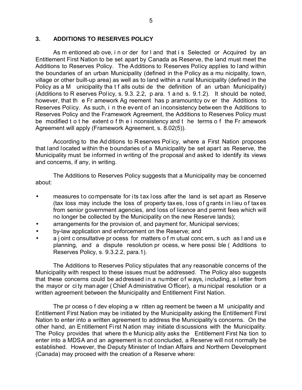## **3. ADDITIONS TO RESERVES POLICY**

As m entioned ab ove, in or der for I and that is Selected or Acquired by an Entitlement First Nation to be set apart by Canada as Reserve, the land must meet the Additions to Reserves Policy. The Additions to Reserves Policy applies to land within the boundaries of an urban Municipality (defined in the Policy as a mu nicipality, town, village or other built-up area) as well as to land within a rural Municipality (defined in the Policy as a M unicipality tha t f alls outsi de the definition of an urban Municipality) (Additions to R eserves Pol icy, s. 9.3. 2.2, p ara. 1 a nd s. 9.1.2). It should be noted, however, that th e Fr amework Ag reement has p aramountcy ov er the Additions to Reserves Policy. As such, i n the event of an inconsistency between the Additions to Reserves Policy and the Framework Agreement, the Additions to Reserves Policy must be modified t o t he extent o f th e i nconsistency and t he terms o f the Fr amework Agreement will apply (Framework Agreement, s. 8.02(5)).

According to the Ad ditions to R eserves Pol icy, where a First Nation proposes that land located within the boundaries of a Municipality be set apart as Reserve, the Municipality must be informed in writing of the proposal and asked to identify its views and concerns, if any, in writing.

The Additions to Reserves Policy suggests that a Municipality may be concerned about:

- measures to compensate for its tax loss after the land is set apart as Reserve (tax loss may include the loss of property taxes, loss of grants in lieu of taxes from senior government agencies, and loss of licence and permit fees which will no longer be collected by the Municipality on the new Reserve lands);
- arrangements for the provision of, and payment for, Municipal services;
- by-law application and enforcement on the Reserve; and
- a j oint c onsultative pr ocess for matters o f m utual conc ern, s uch as l and us e planning, and a dispute resolution pr ocess, w here possi ble ( Additions to Reserves Policy, s. 9.3.2.2, para.1).

The Additions to Reserves Policy stipulates that any reasonable concerns of the Municipality with respect to these issues must be addressed. The Policy also suggests that these concerns could be addressed in a number of ways, including, a l etter from the mayor or ci ty man ager ( Chief A dministrative O fficer), a mu nicipal resolution or a written agreement between the Municipality and Entitlement First Nation.

The pr ocess o f dev eloping a w ritten ag reement be tween a M unicipality and Entitlement First Nation may be initiated by the Municipality asking the Entitlement First Nation to enter into a written agreement to address the Municipality's concerns. On the other hand, an Entitlement First Nation may initiate discussions with the Municipality. The Policy provides that where th e Municip ality asks the Entitlement First Na tion to enter into a MDSA and an agreement is n ot concluded, a Reserve will not normally be established.However, the Deputy Minister of Indian Affairs and Northern Development (Canada) may proceed with the creation of a Reserve where: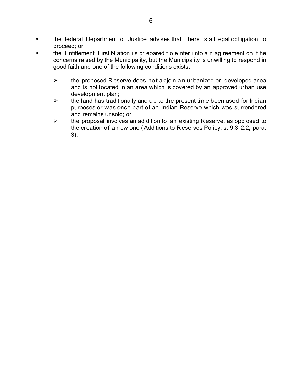- the federal Department of Justice advises that there i s a l egal obl igation to proceed; or
- the Entitlement First N ation i s pr epared t o e nter i nto a n ag reement on t he concerns raised by the Municipality, but the Municipality is unwilling to respond in good faith and one of the following conditions exists:
	- $\triangleright$  the proposed R eserve does not a djoin a n ur banized or developed area and is not located in an area which is covered by an approved urban use development plan;
	- $\triangleright$  the land has traditionally and up to the present time been used for Indian purposes or was once part of an Indian Reserve which was surrendered and remains unsold; or
	- $\triangleright$  the proposal involves an ad dition to an existing Reserve, as opp osed to the creation of a new one ( Additions to R eserves Policy, s. 9.3 .2.2, para. 3).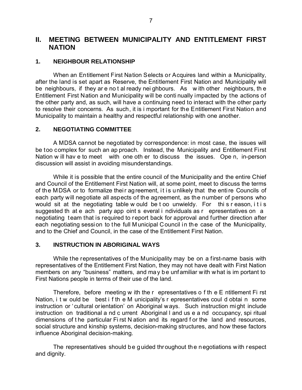## **II. MEETING BETWEEN MUNICIPALITY AND ENTITLEMENT FIRST NATION**

## **1. NEIGHBOUR RELATIONSHIP**

When an Entitlement First Nation Selects or Acquires land within a Municipality, after the land is set apart as Reserve, the Entitlement First Nation and Municipality will be neighbours, if they ar e no t al ready nei ghbours. As w ith other neighbours, th e Entitlement First Nation and Municipality will be conti nually impacted by the actions of the other party and, as such, will have a continuing need to interact with the other party to resolve their concerns. As such, it is i mportant for the Entitlement First Nation and Municipality to maintain a healthy and respectful relationship with one another.

## **2. NEGOTIATING COMMITTEE**

A MDSA cannot be negotiated by correspondence: in most case, the issues will be too complex for such an ap proach. Instead, the Municipality and Entitlement First Nation w ill hav e to meet with one oth er to discuss the issues. Ope n, in-person discussion will assist in avoiding misunderstandings.

While it is possible that the entire council of the Municipality and the entire Chief and Council of the Entitlement First Nation will, at some point, meet to discuss the terms of the MDSA or to formalize their agreement, it is unlikely that the entire Councils of each party will negotiate all aspects of the agreement, as the number of persons who would sit at the negotiating table w ould be t oo unwieldy. For this reason, it is suggested th at e ach party app oint s everal i ndividuals as r epresentatives on a negotiating team that is required to report back for approval and further direction after each negotiating session to the full Municipal Council in the case of the Municipality, and to the Chief and Council, in the case of the Entitlement First Nation.

## **3. INSTRUCTION IN ABORIGINAL WAYS**

While the representatives of the Municipality may be on a first-name basis with representatives of the Entitlement First Nation, they may not have dealt with First Nation members on any "business" matters, and may be unf amiliar with what is im portant to First Nations people in terms of their use of the land.

Therefore, before meeting w ith the r epresentatives o f th e E ntitlement Fi rst Nation, i t w ould be best i f th e M unicipality's r epresentatives coul d obtai n some instruction or 'cultural orientation' on Aboriginal ways. Such instruction might include instruction on traditional a nd c urrent Aboriginal l and us e a nd occupancy, spi ritual dimensions of t he particular Fi rst N ation and its regard f or the land and resources, social structure and kinship systems, decision-making structures, and how these factors influence Aboriginal decision-making.

The representatives should be guided throughout the negotiations with respect and dignity.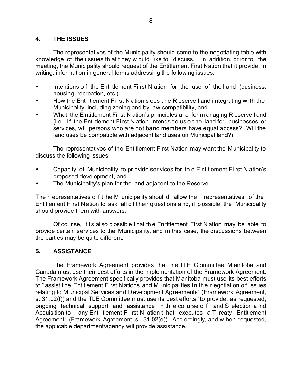## **4. THE ISSUES**

The representatives of the Municipality should come to the negotiating table with knowledge of the i ssues th at t hey w ould l ike to discuss. In addition, pr ior to the meeting, the Municipality should request of the Entitlement First Nation that it provide, in writing, information in general terms addressing the following issues:

- Intentions of the Enti tlement First N ation for the use of the l and (business, housing, recreation, etc.),
- How the Enti tlement Fi rst N ation s ees t he R eserve l and i ntegrating w ith the Municipality, including zoning and by-law compatibility, and
- What the E ntitlement Fi rst N ation's pr inciples ar e for m anaging R eserve l and (i.e., If the Entitlement First Nation intends to use the land for businesses or services, will persons who are not band members have equal access? Will the land uses be compatible with adjacent land uses on Municipal land?).

The representatives of the Entitlement First Nation may want the Municipality to discuss the following issues:

- Capacity of Municipality to pr ovide ser vices for th e E ntitlement Fi rst N ation's proposed development, and
- The Municipality's plan for the land adjacent to the Reserve.

The r epresentatives o f t he M unicipality shoul d allow the representatives of the Entitlement First Nation to ask all of their questions and, if possible, the Municipality should provide them with answers.

Of cour se, i t i s al so p ossible t hat th e En titlement First N ation may be able to provide certain services to the Municipality, and in this case, the discussions between the parties may be quite different.

## **5. ASSISTANCE**

The Framework Agreement provides t hat th e TLE C ommittee, M anitoba and Canada must use their best efforts in the implementation of the Framework Agreement. The Framework Agreement specifically provides that Manitoba must use its best efforts to " assist t he Entitlement Fi rst N ations and M unicipalities in th e n egotiation o f i ssues relating to M unicipal Services and Development Agreements" (Framework Agreement, s. 31.02(f)) and the TLE Committee must use its best efforts "to provide, as requested, ongoing technical support and assistance i n th e co urse o f l and S election a nd Acquisition to any Enti tlement Fi rst N ation t hat executes a T reaty Entitlement Agreement" (Framework Agreement, s. 31.02(e)). Acc ordingly, and w hen r equested, the applicable department/agency will provide assistance.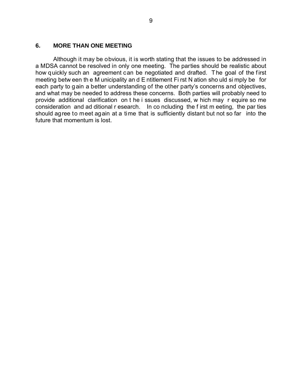#### **6. MORE THAN ONE MEETING**

Although it may be obvious, it is worth stating that the issues to be addressed in a MDSA cannot be resolved in only one meeting. The parties should be realistic about how quickly such an agreement can be negotiated and drafted. The goal of the first meeting betw een th e M unicipality an d E ntitlement Fi rst N ation sho uld si mply be for each party to gain a better understanding of the other party's concerns and objectives, and what may be needed to address these concerns. Both parties will probably need to provide additional clarification on t he i ssues discussed, w hich may r equire so me consideration and ad ditional r esearch. In co ncluding the f irst m eeting, the par ties should agree to meet again at a time that is sufficiently distant but not so far into the future that momentum is lost.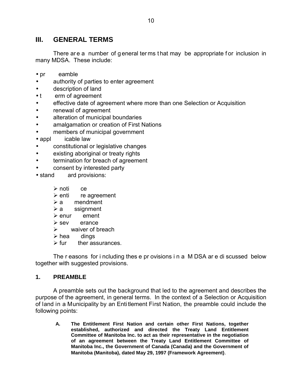## **III. GENERAL TERMS**

There are a number of general terms that may be appropriate for inclusion in many MDSA. These include:

- pr eamble
- authority of parties to enter agreement
- description of land
- t erm of agreement
- effective date of agreement where more than one Selection or Acquisition
- renewal of agreement
- alteration of municipal boundaries
- amalgamation or creation of First Nations
- members of municipal government
- appl icable law
- constitutional or legislative changes
- existing aboriginal or treaty rights
- termination for breach of agreement
- consent by interested party
- stand ard provisions:
	- $\triangleright$  noti ce
	- $\triangleright$  enti re agreement
	- $\triangleright$  a mendment
	- $\triangleright$  a ssignment
	- $\triangleright$  enur ement
	- $\triangleright$  sev erance
	- $\triangleright$  waiver of breach
	- $\triangleright$  hea dings
	- $\triangleright$  fur ther assurances.

The r easons for i ncluding thes e pr ovisions i n a M DSA ar e di scussed below together with suggested provisions.

## **1. PREAMBLE**

A preamble sets out the background that led to the agreement and describes the purpose of the agreement, in general terms. In the context of a Selection or Acquisition of land in a Municipality by an Entitlement First Nation, the preamble could include the following points:

**A. The Entitlement First Nation and certain other First Nations, together established, authorized and directed the Treaty Land Entitlement Committee of Manitoba Inc. to act as their representative in the negotiation of an agreement between the Treaty Land Entitlement Committee of Manitoba Inc., the Government of Canada (Canada) and the Government of Manitoba (Manitoba), dated May 29, 1997 (Framework Agreement)**.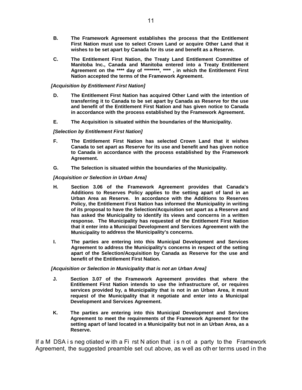- **B. The Framework Agreement establishes the process that the Entitlement First Nation must use to select Crown Land or acquire Other Land that it wishes to be set apart by Canada for its use and benefit as a Reserve.**
- **C. The Entitlement First Nation, the Treaty Land Entitlement Committee of Manitoba Inc., Canada and Manitoba entered into a Treaty Entitlement Agreement on the \*\*\*\* day of \*\*\*\*\*\*\*\*, \*\*\*\* , in which the Entitlement First Nation accepted the terms of the Framework Agreement.**

#### *[Acquisition by Entitlement First Nation]*

- **D. The Entitlement First Nation has acquired Other Land with the intention of transferring it to Canada to be set apart by Canada as Reserve for the use and benefit of the Entitlement First Nation and has given notice to Canada in accordance with the process established by the Framework Agreement.**
- **E. The Acquisition is situated within the boundaries of the Municipality.**

#### *[Selection by Entitlement First Nation]*

- **F. The Entitlement First Nation has selected Crown Land that it wishes Canada to set apart as Reserve for its use and benefit and has given notice to Canada in accordance with the process established by the Framework Agreement.**
- **G. The Selection is situated within the boundaries of the Municipality.**

#### *[Acquisition or Selection in Urban Area]*

- **H. Section 3.06 of the Framework Agreement provides that Canada's Additions to Reserves Policy applies to the setting apart of land in an Urban Area as Reserve. In accordance with the Additions to Reserves Policy, the Entitlement First Nation has informed the Municipality in writing of its proposal to have the Selection/Acquisition set apart as a Reserve and has asked the Municipality to identify its views and concerns in a written response. The Municipality has requested of the Entitlement First Nation that it enter into a Municipal Development and Services Agreement with the Municipality to address the Municipality's concerns.**
- **I. The parties are entering into this Municipal Development and Services Agreement to address the Municipality's concerns in respect of the setting apart of the Selection/Acquisition by Canada as Reserve for the use and benefit of the Entitlement First Nation.**

#### *[Acquisition or Selection in Municipality that is not an Urban Area]*

- **J. Section 3.07 of the Framework Agreement provides that where the Entitlement First Nation intends to use the infrastructure of, or requires services provided by, a Municipality that is not in an Urban Area, it must request of the Municipality that it negotiate and enter into a Municipal Development and Services Agreement.**
- **K. The parties are entering into this Municipal Development and Services Agreement to meet the requirements of the Framework Agreement for the setting apart of land located in a Municipality but not in an Urban Area, as a Reserve.**

If a M DSA i s neg otiated w ith a Fi rst N ation that i s n ot a party to the Framework Agreement, the suggested preamble set out above, as w ell as oth er terms used in the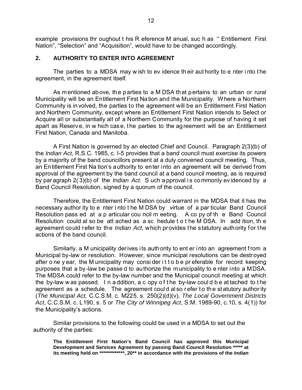example provisions thr oughout t his R eference M anual, suc h as " Entitlement First Nation", "Selection" and "Acquisition", would have to be changed accordingly.

## **2. AUTHORITY TO ENTER INTO AGREEMENT**

The parties to a MDSA may w ish to ev idence th eir aut hority to e nter i nto t he agreement, in the agreement itself.

As mentioned above, the parties to a M DSA that pertains to an urban or rural Municipality will be an Entitlement First Nation and the Municipality. W here a Northern Community is involved, the parties to the agreement will be an Entitlement First Nation and Northern Community, except where an Entitlement First Nation intends to Select or Acquire all or substantially all of a Northern Community for the purpose of having it set apart as Reserve, in w hich case, the parties to the agreement will be an Entitlement First Nation, Canada and Manitoba.

A First Nation is governed by an elected Chief and Council. Paragraph 2(3)(b) of the *Indian Act*, R.S.C. 1985, c. I-5 provides that a band council must exercise its powers by a majority of the band councillors present at a duly convened council meeting. Thus, an Entitlement First Na tion's authority to enter into an agreement will be derived from approval of the agreement by the band council at a band council meeting, as is required by par agraph 2( 3)(b) of the *Indian Act*. S uch a pproval i s co mmonly ev idenced by a Band Council Resolution, signed by a quorum of the council.

Therefore, the Entitlement First Nation could warrant in the MDSA that it has the necessary author ity to e nter i nto t he M DSA by virtue of a par ticular Band Council Resolution pass ed at a p articular cou ncil m eeting. A co py of th e Band Council Resolution could al so be att ached as a sc hedule t o t he M DSA. In add ition, th e agreement could refer to the *Indian Act*, which provides the statutory authority for the actions of the band council.

Similarly, a M unicipality derives its authority to ent er into an agreement f rom a Municipal by-law or resolution. However, since municipal resolutions can be destroyed after o ne y ear, the M unicipality may consider it to be preferable for record keeping purposes that a by-law be passe d to authorize the municipality to e nter into a MDSA. The MDSA could refer to the by-law number and the Municipal council meeting at which the by-law w as passed. I n a ddition, a c opy o f t he by-law coul d b e at tached to t he agreement as a schedule. The agreement could also refer to the statutory authority (*The Municipal Act,* C.C.S.M. c. M225, s. 250(2)(d)(v), *The Local Government Districts Act*, C.C.S.M. c. L190, s. 5 or *The City of Winnipeg Act*, S.M. 1989-90, c.10, s. 4(1)) for the Municipality's actions.

Similar provisions to the following could be used in a MDSA to set out the authority of the parties:

**The Entitlement First Nation's Band Council has approved this Municipal Development and Services Agreement by passing Band Council Resolution \*\*\*\*\* at its meeting held on \*\*\*\*\*\*\*\*\*\*\*\*\*, 20\*\* in accordance with the provisions of the** *Indian*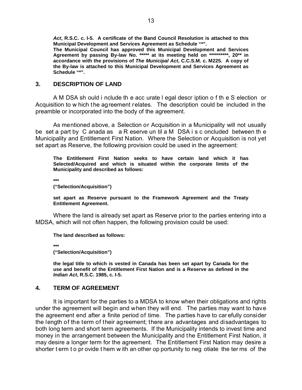*Act***, R.S.C. c. I-5. A certificate of the Band Council Resolution is attached to this Municipal Development and Services Agreement as Schedule "\*".**

**The Municipal Council has approved this Municipal Development and Services Agreement by passing By-law No. \*\*\*\*\* at its meeting held on \*\*\*\*\*\*\*\*\*\*, 20\*\* in accordance with the provisions of** *The Municipal Act***, C.C.S.M. c. M225. A copy of the By-law is attached to this Municipal Development and Services Agreement as Schedule "\*".**

#### **3. DESCRIPTION OF LAND**

A M DSA sh ould i nclude th e acc urate l egal descr iption o f th e S election or Acquisition to w hich the agreement relates. The description could be included in the preamble or incorporated into the body of the agreement.

As mentioned above, a Selection or Acquisition in a Municipality will not usually be set a part by C anada as a R eserve un til a M DSA i s c oncluded between th e Municipality and Entitlement First Nation. Where the Selection or Acquisition is not yet set apart as Reserve, the following provision could be used in the agreement:

**The Entitlement First Nation seeks to have certain land which it has Selected/Acquired and which is situated within the corporate limits of the Municipality and described as follows:**

**\*\*\***

**("Selection/Acquisition")**

**set apart as Reserve pursuant to the Framework Agreement and the Treaty Entitlement Agreement.**

Where the land is already set apart as Reserve prior to the parties entering into a MDSA, which will not often happen, the following provision could be used:

**The land described as follows:**

**\*\*\***

**("Selection/Acquisition")**

**the legal title to which is vested in Canada has been set apart by Canada for the use and benefit of the Entitlement First Nation and is a Reserve as defined in the** *Indian Act***, R.S.C. 1985, c. I-5.**

#### **4. TERM OF AGREEMENT**

It is important for the parties to a MDSA to know when their obligations and rights under the agreement will begin and when they will end. The parties may want to have the agreement end after a finite period of time. The parties have to car efully consider the length of the term of their agreement; there are advantages and disadvantages to both long term and short term agreements. If the Municipality intends to invest time and money in the arrangement between the Municipality and the Entitlement First Nation, it may desire a longer term for the agreement. The Entitlement First Nation may desire a shorter t erm t o pr ovide t hem w ith an other op portunity to neg otiate the ter ms of the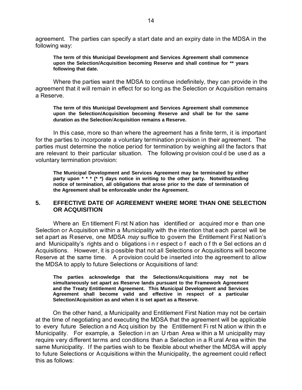agreement. The parties can specify a start date and an expiry date in the MDSA in the following way:

**The term of this Municipal Development and Services Agreement shall commence upon the Selection/Acquisition becoming Reserve and shall continue for \*\* years following that date.**

Where the parties want the MDSA to continue indefinitely, they can provide in the agreement that it will remain in effect for so long as the Selection or Acquisition remains a Reserve.

**The term of this Municipal Development and Services Agreement shall commence upon the Selection/Acquisition becoming Reserve and shall be for the same duration as the Selection**/**Acquisition remains a Reserve.**

In this case, more so than where the agreement has a finite term, it is important for the parties to incorporate a voluntary termination provision in their agreement. The parties must determine the notice period for termination by weighing all the factors that are relevant to their particular situation. The following pr ovision coul d be use d as a voluntary termination provision:

**The Municipal Development and Services Agreement may be terminated by either party upon \* \* \* (\* \*) days notice in writing to the other party. Notwithstanding notice of termination, all obligations that arose prior to the date of termination of the Agreement shall be enforceable under the Agreement.**

## **5. EFFECTIVE DATE OF AGREEMENT WHERE MORE THAN ONE SELECTION OR ACQUISITION**

Where an En titlement Fi rst N ation has identified or acquired mor e than one Selection or Acquisition within a Municipality with the intention that each parcel will be set apart as Reserve, one MDSA *may* suffice to govern the Entitlement First Nation's and Municipality's rights and o bligations i n r espect o f each o f th e Sel ections an d Acquisitions. However, it is possible that not all Selections or Acquisitions will become Reserve at the same time. A provision could be inserted into the agreement to allow the MDSA to apply to future Selections or Acquisitions of land:

**The parties acknowledge that the Selections/Acquisitions may not be simultaneously set apart as Reserve lands pursuant to the Framework Agreement and the Treaty Entitlement Agreement. This Municipal Development and Services Agreement shall become valid and effective in respect of a particular Selection/Acquisition as and when it is set apart as a Reserve.**

On the other hand, a Municipality and Entitlement First Nation may not be certain at the time of negotiating and executing the MDSA that the agreement will be applicable to every future Selection a nd Acq uisition by the Entitlement Fi rst N ation w ithin th e Municipality. For example, a Selection in an U rban Area w ithin a M unicipality may require very different terms and conditions than a Selection in a R ural Area within the same Municipality. If the parties wish to be flexible about whether the MDSA will apply to future Selections or Acquisitions within the Municipality, the agreement could reflect this as follows: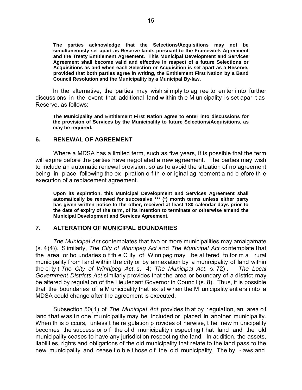**The parties acknowledge that the Selections/Acquisitions may not be simultaneously set apart as Reserve lands pursuant to the Framework Agreement and the Treaty Entitlement Agreement. This Municipal Development and Services Agreement shall become valid and effective in respect of a future Selections or Acquisitions as and when each Selection or Acquisition is set apart as a Reserve, provided that both parties agree in writing, the Entitlement First Nation by a Band Council Resolution and the Municipality by a Municipal By-law.**

In the alternative, the parties may wish si mply to ag ree to en ter i nto further discussions in the event that additional land w ithin th e M unicipality i s set apar t as Reserve, as follows:

**The Municipality and Entitlement First Nation agree to enter into discussions for the provision of Services by the Municipality to future Selections/Acquisitions, as may be required.**

#### **6. RENEWAL OF AGREEMENT**

Where a MDSA has a limited term, such as five years, it is possible that the term will expire before the parties have negotiated a new agreement. The parties may wish to include an automatic renewal provision, so as to avoid the situation of no agreement being in place following the ex piration o f th e or iginal ag reement a nd b efore th e execution of a replacement agreement.

**Upon its expiration, this Municipal Development and Services Agreement shall automatically be renewed for successive \*\*\* (\*) month terms unless either party has given written notice to the other, received at least 180 calendar days prior to the date of expiry of the term, of its intention to terminate or otherwise amend the Municipal Development and Services Agreement.**

#### **7. ALTERATION OF MUNICIPAL BOUNDARIES**

*The Municipal Act* contemplates that two or more municipalities may amalgamate (s. 4(4)). S imilarly, *The City of Winnipeg Act* and *The Municipal Act* contemplate that the area or bo undaries o f th e C ity of Winnipeg may be al tered to for m a rural municipality from land within the city or by annexation by a municipality of land within the ci ty ( *The City of Winnipeg Act*, s. 4; *The Municipal Act*, s. 72) . *The Local Government Districts Act* similarly provides that t he area or boundary of a district may be altered by regulation of the Lieutenant Governor in Council (s. 8). Thus, it is possible that the boundaries of a M unicipality that ex ist w hen the M unicipality ent ers i nto a MDSA could change after the agreement is executed.

Subsection 50(1) of *The Municipal Act* provides that by requiation, an area of land that w as in one mu nicipality may be included or placed in another municipality. When th is o ccurs, unless t he re gulation p rovides ot herwise, t he new m unicipality becomes the success or o f the ol d municipality r especting t hat land and the old municipality ceases to have any jurisdiction respecting the land. In addition, the assets, liabilities, rights and obligations of the old municipality that relate to the land pass to the new municipality and cease t o b e t hose o f the old municipality. The by -laws and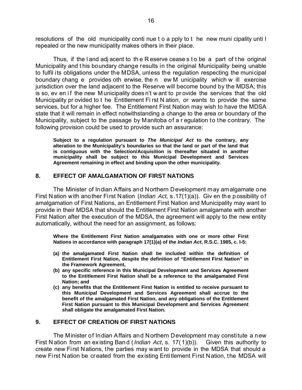resolutions of the old municipality conti nue t o a pply to t he new muni cipality unti l repealed or the new municipality makes others in their place.

Thus, if the l and adj acent to th e R eserve cease s t o be a part of t he original Municipality and t his boundary change results in the original Municipality being unable to fulfil its obligations under the MDSA, unless the regulation respecting the municipal boundary chang e provides oth erwise, the n ew M unicipality which w ill exercise jurisdiction over the land adjacent to the Reserve will become bound by the MDSA; this is so, ev en if the new M unicipality does n't w ant to pr ovide the services that the old Municipality pr ovided to t he Entitlement Fi rst N ation, or wants to provide the same services, but for a higher fee. The Entitlement First Nation may wish to have the MDSA state that it will remain in effect notwithstanding a change to the area or boundary of the Municipality, subject to the passage by Manitoba of a r egulation to the contrary. The following provision could be used to provide such an assurance:

**Subject to a regulation pursuant to** *The Municipal Act* **to the contrary, any alteration to the Municipality's boundaries so that the land or part of the land that is contiguous with the Selection/Acquisition is thereafter situated in another municipality shall be subject to this Municipal Development and Services Agreement remaining in effect and binding upon the other municipality.**

## **8. EFFECT OF AMALGAMATION OF FIRST NATIONS**

The Minister of Indian Affairs and Northern Development may amalgamate one First Nation with another First Nation (*Indian Act,* s.17(1)(a)). Giv en the possibility of amalgamation of First Nations, an Entitlement First Nation and Municipality may want to provide in their MDSA that should the Entitlement First Nation amalgamate with another First Nation after the execution of the MDSA, the agreement will apply to the new entity automatically, without the need for an assignment, as follows:

**Where the Entitlement First Nation amalgamates with one or more other First Nations in accordance with paragraph 17(1)(a) of the** *Indian Act***, R.S.C. 1985, c. I-5:**

- **(a) the amalgamated First Nation shall be included within the definition of Entitlement First Nation, despite the definition of "Entitlement First Nation" in the Framework Agreement,**
- **(b) any specific reference in this Municipal Development and Services Agreement to the Entitlement First Nation shall be a reference to the amalgamated First Nation; and**
- **(c) any benefits that the Entitlement First Nation is entitled to receive pursuant to this Municipal Development and Services Agreement shall accrue to the benefit of the amalgamated First Nation, and any obligations of the Entitlement First Nation pursuant to this Municipal Development and Services Agreement shall obligate the amalgamated First Nation.**

### **9. EFFECT OF CREATION OF FIRST NATIONS**

The Minister of Indian Affairs and Northern Development may constitute a new First N ation from an ex isting Ban d ( *Indian Act*, s. 17( 1)(b)). Given this authority to create new First Nations, the parties may want to provide in the MDSA that should a new First Nation be created from the existing Entitlement First Nation, the MDSA will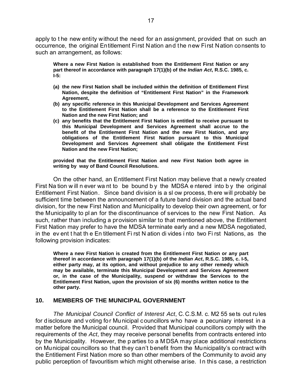apply to t he new entity without the need for an assignment, provided that on such an occurrence, the original Entitlement First Nation and the new First Nation consents to such an arrangement, as follows:

**Where a new First Nation is established from the Entitlement First Nation or any part thereof in accordance with paragraph 17(1)(b) of the** *Indian Act***, R.S.C. 1985, c. I-5:**

- **(a) the new First Nation shall be included within the definition of Entitlement First Nation, despite the definition of "Entitlement First Nation" in the Framework Agreement,**
- **(b) any specific reference in this Municipal Development and Services Agreement to the Entitlement First Nation shall be a reference to the Entitlement First Nation and the new First Nation; and**
- **(c) any benefits that the Entitlement First Nation is entitled to receive pursuant to this Municipal Development and Services Agreement shall accrue to the benefit of the Entitlement First Nation and the new First Nation, and any obligations of the Entitlement First Nation pursuant to this Municipal Development and Services Agreement shall obligate the Entitlement First Nation and the new First Nation;**

**provided that the Entitlement First Nation and new First Nation both agree in writing by way of Band Council Resolutions.**

On the other hand, an Entitlement First Nation may believe that a newly created First Na tion w ill n ever wa nt to be bound b y the MDSA e ntered into b y the original Entitlement First Nation. Since band division is a sl ow process, th ere will probably be sufficient time between the announcement of a future band division and the actual band division, for the new First Nation and Municipality to develop their own agreement, or for the Municipality to pl an for the discontinuance of services to the new First Nation. As such, rather than including a provision similar to that mentioned above, the Entitlement First Nation may prefer to have the MDSA terminate early and a new MDSA negotiated, in the ev ent t hat th e En titlement Fi rst N ation di vides i nto two Fi rst Nations, as the following provision indicates:

**Where a new First Nation is created from the Entitlement First Nation or any part thereof in accordance with paragraph 17(1)(b) of the** *Indian Act***, R.S.C. 1985, c. I-5, either party may, at its option, and without prejudice to any other remedy which may be available, terminate this Municipal Development and Services Agreement or, in the case of the Municipality, suspend or withdraw the Services to the Entitlement First Nation, upon the provision of six (6) months written notice to the other party.**

#### **10. MEMBERS OF THE MUNICIPAL GOVERNMENT**

*The Municipal Council Conflict of Interest Act*, C.C.S.M. c. M2 55 sets out rules for disclosure and voting for Municipal councillors who have a pecuniary interest in a matter before the Municipal council. Provided that Municipal councillors comply with the requirements of the *Act*, they may receive personal benefits from contracts entered into by the Municipality. However, the p arties to a M DSA may place additional restrictions on Municipal councillors so that they can't benefit from the Municipality's contract with the Entitlement First Nation more so than other members of the Community to avoid any public perception of favouritism which might otherwise arise. I n this case, a restriction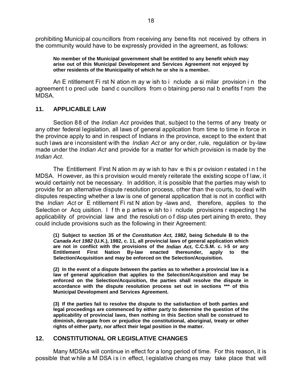prohibiting Municipal councillors from receiving any benefits not received by others in the community would have to be expressly provided in the agreement, as follows:

**No member of the Municipal government shall be entitled to any benefit which may arise out of this Municipal Development and Services Agreement not enjoyed by other residents of the Municipality of which he or she is a member.**

An E ntitlement Fi rst N ation m ay w ish to i nclude a si milar provision i n the agreement t o precl ude band c ouncillors from o btaining perso nal b enefits f rom the MDSA.

## **11. APPLICABLE LAW**

Section 88 of the *Indian Act* provides that, subject to the terms of any treaty or any other federal legislation, all laws of general application from time to time in force in the province apply to and in respect of Indians in the province, except to the extent that such laws are inconsistent with the *Indian Act* or any order, rule, regulation or by-law made under the *Indian Act* and provide for a matter for which provision is made by the *Indian Act*.

The Entitlement First N ation m ay w ish to hav e thi s pr ovision r estated i n t he MDSA. H owever, as thi s provision would merely reiterate the existing scope o f law, it would certainly not be necessary. In addition, it is possible that the parties may wish to provide for an alternative dispute resolution process, other than the courts, to deal with disputes respecting whether a law is one of general application that is not in conflict with the *Indian Act* or E ntitlement Fi rst N ation by -laws and, therefore, applies to the Selection or Acq uisition. I f th e p arties w ish to i nclude provisions r especting t he applicability of provincial law and the resoluti on o f disp utes pert aining th ereto, they could include provisions such as the following in their Agreement:

**(1) Subject to section 35 of the** *Constitution Act, 1982***, being Schedule B to the** *Canada Act 1982* **(U.K.), 1982, c. 11, all provincial laws of general application which are not in conflict with the provisions of the** *Indian Act***, C.C.S.M. c. I-5 or any Entitlement First Nation By-law enacted thereunder, apply to the Selection/Acquisition and may be enforced on the Selection/Acquisition.**

**(2) In the event of a dispute between the parties as to whether a provincial law is a law of general application that applies to the Selection/Acquisition and may be enforced on the Selection/Acquisition, the parties shall resolve the dispute in accordance with the dispute resolution process set out in sections \*\*\* of this Municipal Development and Services Agreement.**

**(3) If the parties fail to resolve the dispute to the satisfaction of both parties and legal proceedings are commenced by either party to determine the question of the applicability of provincial laws, then nothing in this Section shall be construed to diminish, derogate from or prejudice the constitutional, aboriginal, treaty or other rights of either party, nor affect their legal position in the matter.**

## **12. CONSTITUTIONAL OR LEGISLATIVE CHANGES**

Many MDSAs will continue in effect for a long period of time. For this reason, it is possible that w hile a M DSA is in effect, I egislative changes may take place that will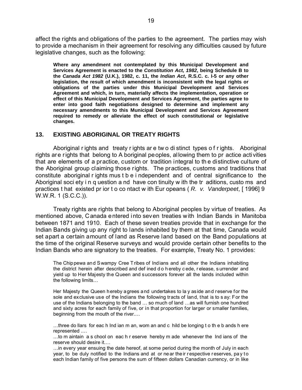affect the rights and obligations of the parties to the agreement. The parties may wish to provide a mechanism in their agreement for resolving any difficulties caused by future legislative changes, such as the following:

**Where any amendment not contemplated by this Municipal Development and Services Agreement is enacted to the** *Constitution Act, 1982***, being Schedule B to the** *Canada Act 1982* **(U.K.), 1982, c. 11, the** *Indian Act***, R.S.C. c. I-5 or any other legislation, the result of which amendment is inconsistent with the legal rights or obligations of the parties under this Municipal Development and Services Agreement and which, in turn, materially affects the implementation, operation or effect of this Municipal Development and Services Agreement, the parties agree to enter into good faith negotiations designed to determine and implement any necessary amendments to this Municipal Development and Services Agreement required to remedy or alleviate the effect of such constitutional or legislative changes.**

#### **13. EXISTING ABORIGINAL OR TREATY RIGHTS**

Aboriginal r ights and treaty r ights ar e tw o di stinct types o f r ights. Aboriginal rights are rights that belong to A boriginal peoples, allowing them to pr actice activities that are elements of a practice, custom or tradition integral to th e distinctive culture of the Aboriginal group claiming those rights. The practices, customs and traditions that constitute aboriginal r ights mus t b e i ndependent and of central significance to the Aboriginal soci ety i n q uestion a nd have con tinuity w ith the tr aditions, custo ms and practices t hat existed pr ior t o co ntact w ith Eur opeans ( *R. v. Vanderpeet*, [ 1996] 9 W.W.R. 1 (S.C.C.)).

Treaty rights are rights that belong to Aboriginal peoples by virtue of treaties. As mentioned above, Canada entered into seven treaties with Indian Bands in Manitoba between 1871 and 1910. Each of these seven treaties provide that in exchange for the Indian Bands giving up any right to lands inhabited by them at that time, Canada would set apart a certain amount of land as Reserve land based on the Band populations at the time of the original Reserve surveys and would provide certain other benefits to the Indian Bands who are signatory to the treaties. For example, Treaty No. 1 provides:

The Chippewa and Swampy Cree Tribes of Indians and all other the Indians inhabiting the district herein after described and def ined d o h ereby c ede, r elease, s urrender and yield up to Her Majesty the Queen and successors forever all the lands included within the following limits…

Her Majesty the Queen hereby agrees and undertakes to la y aside and reserve for the sole and exclusive use of the Indians the following tracts of land, that is to s ay: For the use of the Indians belonging to the band … so much of land …as will furnish one hundred and sixty acres for each family of five, or in that proportion for larger or smaller families, beginning from the mouth of the river.…

…three do llars for eac h Ind ian m an, wom an and c hild be longing t o th e b ands h ere represented .…

…to m aintain a s chool on eac h r eserve hereby m ade whenever the Ind ians of the reserve should desire it.…

…in every year ensuing the date hereof, at some period during the month of July in each year, to be duly notified to the Indians and at or ne ar the ir respective reserves, pay to each Indian family of five persons the sum of fifteen dollars Canadian currency, or in like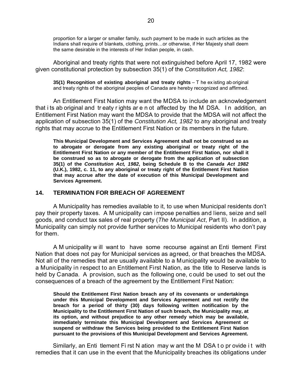proportion for a larger or smaller family, such payment to be made in such articles as the Indians shall require of blankets, clothing, prints…or otherwise, if Her Majesty shall deem the same desirable in the interests of Her Indian people, in cash.

Aboriginal and treaty rights that were not extinguished before April 17, 1982 were given constitutional protection by subsection 35(1) of the *Constitution Act, 1982*:

**35(1) Recognition of existing aboriginal and treaty rights** – T he ex isting ab original and treaty rights of the aboriginal peoples of Canada are hereby recognized and affirmed.

An Entitlement First Nation may want the MDSA to include an acknowledgement that i ts ab original and tr eaty r ights ar e n ot affected by the M DSA. I n addition, an Entitlement First Nation may want the MDSA to provide that the MDSA will not affect the application of subsection 35(1) of the *Constitution Act, 1982* to any aboriginal and treaty rights that may accrue to the Entitlement First Nation or its members in the future.

**This Municipal Development and Services Agreement shall not be construed so as to abrogate or derogate from any existing aboriginal or treaty right of the Entitlement First Nation or any member of the Entitlement First Nation, nor shall it be construed so as to abrogate or derogate from the application of subsection 35(1) of the** *Constitution Act, 1982***, being Schedule B to the** *Canada Act 1982* **(U.K.), 1982, c. 11, to any aboriginal or treaty right of the Entitlement First Nation that may accrue after the date of execution of this Municipal Development and Services Agreement.**

#### **14. TERMINATION FOR BREACH OF AGREEMENT**

A Municipality has remedies available to it, to use when Municipal residents don't pay their property taxes. A M unicipality can impose penalties and liens, seize and sell goods, and conduct tax sales of real property (*The Municipal Act*, Part II). In addition, a Municipality can simply not provide further services to Municipal residents who don't pay for them.

A M unicipality w ill want to have some recourse against an Enti tlement First Nation that does not pay for Municipal services as agreed, or that breaches the MDSA. Not all of the remedies that are usually available to a Municipality would be available to a Municipality in respect to an Entitlement First Nation, as the title to Reserve lands is held by Canada. A provision, such as the following one, c ould be used to set out the consequences of a breach of the agreement by the Entitlement First Nation:

**Should the Entitlement First Nation breach any of its covenants or undertakings under this Municipal Development and Services Agreement and not rectify the breach for a period of thirty (30) days following written notification by the Municipality to the Entitlement First Nation of such breach, the Municipality may, at its option, and without prejudice to any other remedy which may be available, immediately terminate this Municipal Development and Services Agreement or suspend or withdraw the Services being provided to the Entitlement First Nation pursuant to the provisions of this Municipal Development and Services Agreement.**

Similarly, an Enti tlement Fi rst N ation may w ant the M DSA t o pr ovide i t with remedies that it can use in the event that the Municipality breaches its obligations under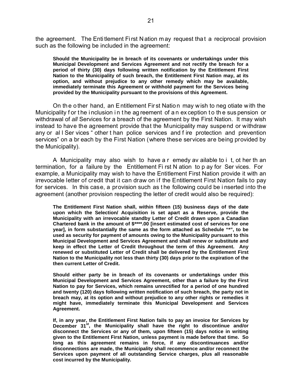the agreement. The Entitlement First Nation may request that a reciprocal provision such as the following be included in the agreement:

**Should the Municipality be in breach of its covenants or undertakings under this Municipal Development and Services Agreement and not rectify the breach for a period of thirty (30) days following written notification by the Entitlement First Nation to the Municipality of such breach, the Entitlement First Nation may, at its option, and without prejudice to any other remedy which may be available, immediately terminate this Agreement or withhold payment for the Services being provided by the Municipality pursuant to the provisions of this Agreement.**

On th e o ther hand, an E ntitlement Fir st Natio n may wish to neg otiate with the Municipality for the inclusion in the ag reement of an ex ception to the sus pension or withdrawal of *all* Services for a breach of the agreement by the First Nation. It may wish instead to have the agreement provide that the Municipality may suspend or withdraw any or al l Ser vices " other t han police services and f ire protection and prevention services" on a br each by the First Nation (where these services are being provided by the Municipality).

A Municipality may also wish to have a r emedy av ailable to i t, ot her th an termination, for a failure by the Entitlement Fi rst N ation to p ay for Ser vices. For example, a Municipality may wish to have the Entitlement First Nation provide it with an irrevocable letter of credit that it can draw on if the Entitlement First Nation fails to pay for services. In this case, a provision such as t he following could be i nserted into the agreement (another provision respecting the letter of credit would also be required):

**The Entitlement First Nation shall, within fifteen (15) business days of the date upon which the Selection/ Acquisition is set apart as a Reserve, provide the Municipality with an irrevocable standby Letter of Credit drawn upon a Canadian Chartered bank in the amount of \$\*\*\*\*.00 [insert estimated cost of services for one year], in form substantially the same as the form attached as Schedule "\*", to be used as security for payment of amounts owing to the Municipality pursuant to this Municipal Development and Services Agreement and shall renew or substitute and keep in effect the Letter of Credit throughout the term of this Agreement. Any renewed or substituted Letter of Credit shall be delivered by the Entitlement First Nation to the Municipality not less than thirty (30) days prior to the expiration of the then current Letter of Credit.**

**Should either party be in breach of its covenants or undertakings under this Municipal Development and Services Agreement, other than a failure by the First Nation to pay for Services, which remains unrectified for a period of one hundred and twenty (120) days following written notification of such breach, the party not in breach may, at its option and without prejudice to any other rights or remedies it might have, immediately terminate this Municipal Development and Services Agreement.**

**If, in any year, the Entitlement First Nation fails to pay an invoice for Services by December 31st, the Municipality shall have the right to discontinue and/or disconnect the Services or any of them, upon fifteen (15) days notice in writing given to the Entitlement First Nation, unless payment is made before that time. So long as this agreement remains in force, if any discontinuances and/or disconnections are made, the Municipality shall recommence and/or reconnect the Services upon payment of all outstanding Service charges, plus all reasonable cost incurred by the Municipality.**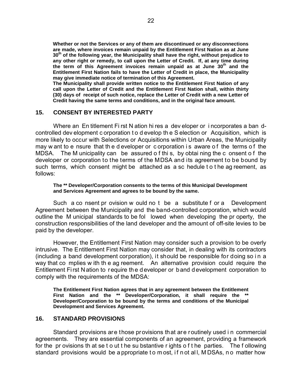**Whether or not the Services or any of them are discontinued or any disconnections are made, where invoices remain unpaid by the Entitlement First Nation as at June 30th of the following year, the Municipality shall have the right, without prejudice to any other right or remedy, to call upon the Letter of Credit. If, at any time during the term of this Agreement invoices remain unpaid as at June 30th and the Entitlement First Nation fails to have the Letter of Credit in place, the Municipality may give immediate notice of termination of this Agreement.**

**The Municipality shall provide written notice to the Entitlement First Nation of any call upon the Letter of Credit and the Entitlement First Nation shall, within thirty (30) days of receipt of such notice, replace the Letter of Credit with a new Letter of Credit having the same terms and conditions, and in the original face amount.**

### **15. CONSENT BY INTERESTED PARTY**

Where an En titlement Fi rst N ation hi res a dev eloper or i ncorporates a ban dcontrolled dev elopment c orporation t o d evelop the S election or Acquisition, which is more likely to occur with Selections or Acquisitions within Urban Areas, the Municipality may w ant to e nsure that the d eveloper or c orporation is aware of the terms of the MDSA. The M unicipality can be assured o f thi s, by obtai ning the c onsent o f the developer or corporation to the terms of the MDSA and its agreement to be bound by such terms, which consent might be attached as a sc hedule t o t he ag reement, as follows:

#### **The \*\* Developer/Corporation consents to the terms of this Municipal Development and Services Agreement and agrees to be bound by the same.**

Such a co nsent pr ovision w ould no t be a substitute f or a Development Agreement between the Municipality and the band-controlled corporation, which would outline the M unicipal standards to be fol lowed when developing the pr operty, the construction responsibilities of the land developer and the amount of off-site levies to be paid by the developer.

However, the Entitlement First Nation may consider such a provision to be overly intrusive. The Entitlement First Nation may consider that, in dealing with its contractors (including a band development corporation), it should be responsible for doing so i n a way that co mplies w ith th e ag reement. An alternative provision could require the Entitlement Fi rst N ation to r equire th e d eveloper or b and d evelopment corporation to comply with the requirements of the MDSA:

**The Entitlement First Nation agrees that in any agreement between the Entitlement First Nation and the \*\* Developer/Corporation, it shall require the \*\* Developer/Corporation to be bound by the terms and conditions of the Municipal Development and Services Agreement.**

#### **16. STANDARD PROVISIONS**

Standard provisions are those provisions that are routinely used i n commercial agreements. They are essential components of an agreement, providing a framework for the pr ovisions th at se t o ut t he su bstantive r ights o f t he parties. The f ollowing standard provisions would be a ppropriate to m ost, if n ot all, M DSAs, n o matter how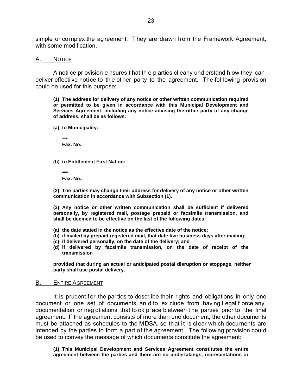simple or complex the agreement. T hey are drawn f rom the Framework Agreement, with some modification.

#### A. NOTICE

A noti ce pr ovision e nsures t hat th e p arties cl early und erstand h ow they can deliver effecti ve noti ce to th e ot her party to the agreement. The fol lowing provision could be used for this purpose:

**(1) The address for delivery of any notice or other written communication required or permitted to be given in accordance with this Municipal Development and Services Agreement, including any notice advising the other party of any change of address, shall be as follows:**

**(a) to Municipality:**

**\*\*\* Fax. No.:**

**(b) to Entitlement First Nation:**

**\*\*\* Fax. No.:**

**(2) The parties may change their address for delivery of any notice or other written communication in accordance with Subsection (1).**

**(3) Any notice or other written communication shall be sufficient if delivered personally, by registered mail, postage prepaid or facsimile transmission, and shall be deemed to be effective on the last of the following dates:**

- **(a) the date stated in the notice as the effective date of the notice;**
- **(b) if mailed by prepaid registered mail, that date five business days after mailing;**
- **(c) if delivered personally, on the date of the delivery; and**
- **(d) if delivered by facsimile transmission, on the date of receipt of the transmission**

**provided that during an actual or anticipated postal disruption or stoppage, neither party shall use postal delivery.**

#### B. ENTIRE AGREEMENT

It is prudent for the parties to describe their rights and obligations in only one document or one set of documents, an d to ex clude from having l egal f orce any documentation or neg otiations that to ok pl ace b etween t he parties prior to the final agreement. If the agreement consists of more than one document, the other documents must be attached as schedules to the MDSA, so that it is clear which documents are intended by the parties to form a part of the agreement. The following provision could be used to convey the message of which documents constitute the agreement:

**(1) This Municipal Development and Services Agreement constitutes the entire agreement between the parties and there are no undertakings, representations or**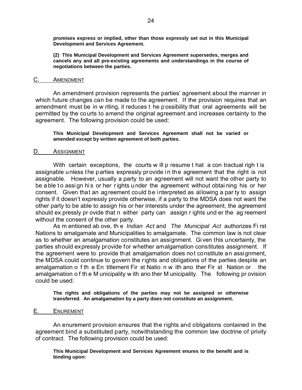**promises express or implied, other than those expressly set out in this Municipal Development and Services Agreement.**

**(2) This Municipal Development and Services Agreement supersedes, merges and cancels any and all pre-existing agreements and understandings in the course of negotiations between the parties.**

#### C. AMENDMENT

An amendment provision represents the parties' agreement about the manner in which future changes can be made to the agreement. If the provision requires that an amendment must be in w riting, it reduces t he p ossibility that oral agreements will be permitted by the courts to amend the original agreement and increases certainty to the agreement. The following provision could be used:

**This Municipal Development and Services Agreement shall not be varied or amended except by written agreement of both parties.**

#### D. ASSIGNMENT

With certain exceptions, the courts w ill p resume t hat a con tractual righ t is assignable unless the parties expressly provide in the agreement that the right is not assignable. However, usually a party to an agreement will not want the other party to be a ble to assign his or her rights under the agreement without obtaining his or her consent. Given that an agreement could be interpreted as allowing a par ty to assign rights if it doesn't expressly provide otherwise, if a party to the MDSA does not want the other party to be able to assign his or her interests under the agreement, the agreement should ex pressly pr ovide that n either party can assign r ights und er the ag reement without the consent of the other party.

As m entioned ab ove, th e *Indian Act* and *The Municipal Act* authorizes Fi rst Nations to amalgamate and Municipalities to amalgamate. The common law is not clear as to whether an amalgamation constitutes an assignment. Given this uncertainty, the parties should expressly provide for whether amalgamation constitutes assignment. If the agreement were to provide that amalgamation does not constitute an assignment, the MDSA could continue to govern the rights and obligations of the parties despite an amalgamation o f th e En titlement Fir st Natio n w ith ano ther Fir st Nation or the amalgamation o f th e M unicipality w ith ano ther M unicipality. The following pr ovision could be used:

**The rights and obligations of the parties may not be assigned or otherwise transferred. An amalgamation by a party does not constitute an assignment.**

#### E. ENUREMENT

An enurement provision ensures that the rights and obligations contained in the agreement bind a substituted party, notwithstanding the common law doctrine of privity of contract. The following provision could be used:

**This Municipal Development and Services Agreement enures to the benefit and is binding upon:**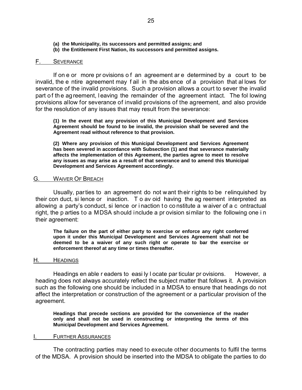- **(a) the Municipality, its successors and permitted assigns; and**
- **(b) the Entitlement First Nation, its successors and permitted assigns.**

#### F. SEVERANCE

If on e or more pr ovisions o f an agreement ar e determined by a court to be invalid, the e ntire agreement may f ail in the abs ence of a provision that al lows for severance of the invalid provisions. Such a provision allows a court to sever the invalid part of the agreement, leaving the remainder of the agreement intact. The following provisions allow for severance of invalid provisions of the agreement, and also provide for the resolution of any issues that may result from the severance:

**(1) In the event that any provision of this Municipal Development and Services Agreement should be found to be invalid, the provision shall be severed and the Agreement read without reference to that provision.**

**(2) Where any provision of this Municipal Development and Services Agreement has been severed in accordance with Subsection (1) and that severance materially affects the implementation of this Agreement, the parties agree to meet to resolve any issues as may arise as a result of that severance and to amend this Municipal Development and Services Agreement accordingly.**

#### G. WAIVER OF BREACH

Usually, parties to an agreement do not want their rights to be relinquished by their con duct, si lence or inaction. T o av oid having the ag reement interpreted as allowing a party's conduct, si lence or i naction to constitute a w aiver of a c ontractual right, the p arties to a MDSA should include a pr ovision similar to the following one i n their agreement:

**The failure on the part of either party to exercise or enforce any right conferred upon it under this Municipal Development and Services Agreement shall not be deemed to be a waiver of any such right or operate to bar the exercise or enforcement thereof at any time or times thereafter.**

#### H. HEADINGS

Headings en able r eaders to easi ly I ocate par ticular pr ovisions. However, a heading does not always accurately reflect the subject matter that follows it. A provision such as the following one should be included in a MDSA to ensure that headings do not affect the interpretation or construction of the agreement or a particular provision of the agreement.

**Headings that precede sections are provided for the convenience of the reader only and shall not be used in constructing or interpreting the terms of this Municipal Development and Services Agreement.**

#### **FURTHER ASSURANCES**

The contracting parties may need to execute other documents to fulfil the terms of the MDSA. A provision should be inserted into the MDSA to obligate the parties to do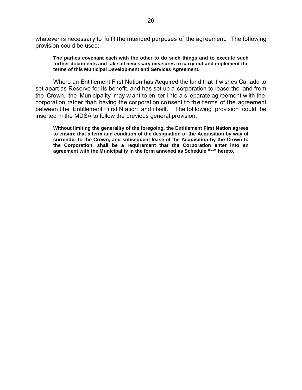whatever is necessary to fulfil the intended purposes of the agreement. The following provision could be used:

**The parties covenant each with the other to do such things and to execute such further documents and take all necessary measures to carry out and implement the terms of this Municipal Development and Services Agreement.**

Where an Entitlement First Nation has Acquired the land that it wishes Canada to set apart as Reserve for its benefit, and has set up a corporation to lease the land from the Crown, the Municipality may w ant to en ter i nto a s eparate ag reement w ith the corporation rather than having the corporation consent to the terms of the agreement between t he Entitlement Fi rst N ation and i tself. The fol lowing provision could be inserted in the MDSA to follow the previous general provision:

**Without limiting the generality of the foregoing, the Entitlement First Nation agrees to ensure that a term and condition of the designation of the Acquisition by way of surrender to the Crown, and subsequent lease of the Acquisition by the Crown to the Corporation, shall be a requirement that the Corporation enter into an agreement with the Municipality in the form annexed as Schedule "\*\*" hereto.**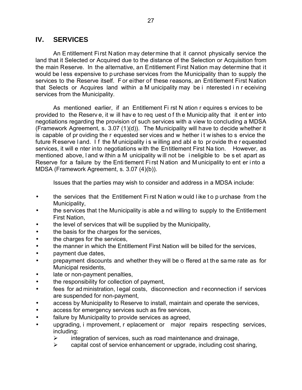## **IV. SERVICES**

An Entitlement First Nation may determine that it cannot physically service the land that it Selected or Acquired due to the distance of the Selection or Acquisition from the main Reserve. In the alternative, an Entitlement First Nation may determine that it would be l ess expensive to p urchase services from the Municipality than to supply the services to the Reserve itself. F or either of these reasons, an Entitlement First Nation that Selects or Acquires land within a M unicipality may be i nterested i n r eceiving services from the Municipality.

As mentioned earlier, if an Entitlement Fi rst N ation r equires s ervices to be provided to the Reserv e, it w ill hav e to req uest o f th e Municip ality that it ent er into negotiations regarding the provision of such services with a view to concluding a MDSA (Framework Agreement, s. 3.07 (1)(d)). The Municipality will have to decide whether it is capable of pr oviding the r equested ser vices and w hether i t w ishes to s ervice the future Reserve land. If the M unicipality is willing and able to provide the requested services, it will e nter into negotiations with the Entitlement First Na tion. However, as mentioned above, l and w ithin a M unicipality w ill not be i neligible to be s et apart as Reserve for a failure by the Enti tlement Fi rst N ation and M unicipality to ent er i nto a MDSA (Framework Agreement, s. 3.07 (4)(b)).

Issues that the parties may wish to consider and address in a MDSA include:

- the services that the Entitlement First N ation w ould like to p urchase from the Municipality,
- the services that t he Municipality is able a nd willing to supply to the Entitlement First Nation,
- the level of services that will be supplied by the Municipality,
- the basis for the charges for the services,
- the charges for the services,
- the manner in which the Entitlement First Nation will be billed for the services,
- payment due dates,
- prepayment discounts and whether they will be o ffered at the same rate as for Municipal residents,
- late or non-payment penalties,
- the responsibility for collection of payment,
- fees for ad ministration, legal costs, disconnection and reconnection if services are suspended for non-payment,
- access by Municipality to Reserve to install, maintain and operate the services,
- access for emergency services such as fire services,
- failure by Municipality to provide services as agreed,
- upgrading, i mprovement, r eplacement or major repairs respecting services, including:
	- $\triangleright$  integration of services, such as road maintenance and drainage,
	- $\triangleright$  capital cost of service enhancement or upgrade, including cost sharing,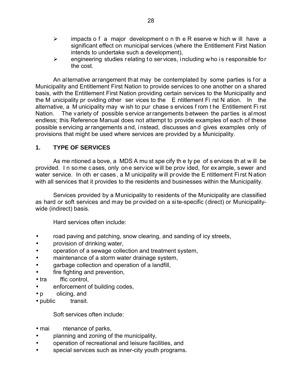- $\triangleright$  impacts o f a major development o n the R eserve w hich w ill have a significant effect on municipal services (where the Entitlement First Nation intends to undertake such a development),
- $\triangleright$  engineering studies relating to services, including who is responsible for the cost.

An alternative arrangement that may be contemplated by some parties is for a Municipality and Entitlement First Nation to provide services to one another on a shared basis, with the Entitlement First Nation providing certain services to the Municipality and the M unicipality pr oviding other ser vices to the E ntitlement Fi rst N ation. In the alternative, a M unicipality may w ish to pur chase s ervices f rom t he Entitlement Fi rst Nation. The variety of possible service arrangements between the parties is almost endless; this Reference Manual does not attempt to provide examples of each of these possible s ervicing ar rangements a nd, i nstead, discusses an d gives examples only of provisions that might be used where services are provided by a Municipality.

## **1. TYPE OF SERVICES**

As me ntioned a bove, a MDS A mu st spe cify th e ty pe of s ervices th at w ill be provided. I n some cases, only one service will be prov ided, for example, sewer and water service. In oth er cases, a M unicipality will provide the E ntitlement First Nation with all services that it provides to the residents and businesses within the Municipality.

Services provided by a Municipality to residents of the Municipality are classified as hard or soft services and may be provided on a site-specific (direct) or Municipalitywide (indirect) basis.

Hard services often include:

- road paving and patching, snow clearing, and sanding of icy streets,
- provision of drinking water,
- operation of a sewage collection and treatment system,
- maintenance of a storm water drainage system,
- garbage collection and operation of a landfill,
- fire fighting and prevention,
- tra ffic control.
- enforcement of building codes,
- p olicing, and
- public transit.

Soft services often include:

- mai ntenance of parks,
- planning and zoning of the municipality,
- operation of recreational and leisure facilities, and
- special services such as inner-city youth programs.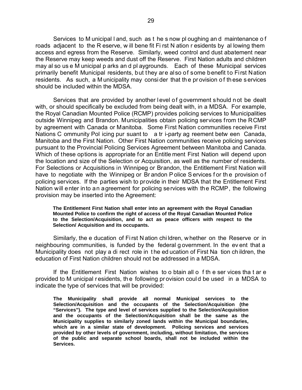Services to M unicipal l and, such as t he s now pl oughing an d maintenance o f roads adjacent to the R eserve, w ill bene fit Fi rst N ation r esidents by al lowing them access and egress from the Reserve. Similarly, weed control and dust abatement near the Reserve may keep weeds and dust off the Reserve. First Nation adults and children may al so us e M unicipal p arks an d pl aygrounds. Each of these Municipal services primarily benefit Municipal residents, but they are also of some benefit to First Nation residents. As such, a M unicipality may consider that the provision of these services should be included within the MDSA.

Services that are provided by another level of government should not be dealt with, or should specifically be excluded from being dealt with, in a MDSA. For example, the Royal Canadian Mounted Police (RCMP) provides policing services to Municipalities outside Winnipeg and Brandon. Municipalities obtain policing services from the RCMP by agreement with Canada or Manitoba. Some First Nation communities receive First Nations C ommunity Pol icing pur suant to a tr i-party ag reement betw een Canada, Manitoba and the First Nation. Other First Nation communities receive policing services pursuant to the Provincial Policing Services Agreement between Manitoba and Canada. Which of these options is appropriate for an Entitle ment First Nation will depend upon the location and size of the Selection or Acquisition, as well as the number of residents. For Selections or Acquisitions in Winnipeg or Brandon, the Entitlement First Nation will have to negotiate with the Winnipeg or Brandon P olice S ervices for the provision of policing services. If the parties wish to provide in their MDSA that the Entitlement First Nation will enter into an agreement for policing services with the RCMP, the following provision may be inserted into the Agreement:

#### **The Entitlement First Nation shall enter into an agreement with the Royal Canadian Mounted Police to confirm the right of access of the Royal Canadian Mounted Police to the Selection/Acquisition, and to act as peace officers with respect to the Selection/ Acquisition and its occupants.**

Similarly, the e ducation of Fi rst N ation chi ldren, w hether on the Reserve or in neighbouring communities, is funded by the federal g overnment. In the ev ent that a Municipality does not play a di rect role in t he ed ucation of First Na tion ch ildren, the education of First Nation children should not be addressed in a MDSA.

If the Entitlement First Nation wishes to o btain all o f th e ser vices tha t ar e provided to M unicipal r esidents, th e following pr ovision coul d be used in a MDSA to indicate the type of services that will be provided:

**The Municipality shall provide all normal Municipal services to the Selection/Acquisition and the occupants of the Selection/Acquisition (the "Services"). The type and level of services supplied to the Selection/Acquisition and the occupants of the Selection/Acquisition shall be the same as the Municipality supplies to similarly zoned lands within the Municipal boundaries, which are in a similar state of development. Policing services and services provided by other levels of government, including, without limitation, the services of the public and separate school boards, shall not be included within the Services.**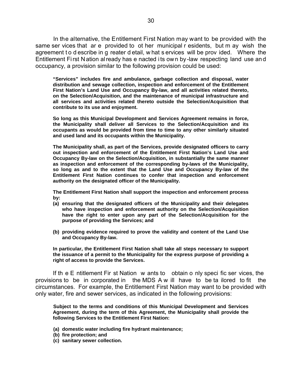In the alternative, the Entitlement First Nation may want to be provided with the same ser vices that ar e provided to ot her municipal r esidents, but m ay wish the agreement to d escribe in g reater d etail, w hat s ervices will be provided. Where the Entitlement Fi rst N ation al ready has e nacted i ts own by -law respecting land use an d occupancy, a provision similar to the following provision could be used:

**"Services" includes fire and ambulance, garbage collection and disposal, water distribution and sewage collection, inspection and enforcement of the Entitlement First Nation's Land Use and Occupancy By-law, and all activities related thereto, on the Selection/Acquisition, and the maintenance of municipal infrastructure and all services and activities related thereto outside the Selection/Acquisition that contribute to its use and enjoyment.**

**So long as this Municipal Development and Services Agreement remains in force, the Municipality shall deliver all Services to the Selection/Acquisition and its occupants as would be provided from time to time to any other similarly situated and used land and its occupants within the Municipality.**

**The Municipality shall, as part of the Services, provide designated officers to carry out inspection and enforcement of the Entitlement First Nation's Land Use and Occupancy By-law on the Selection/Acquisition, in substantially the same manner as inspection and enforcement of the corresponding by-laws of the Municipality, so long as and to the extent that the Land Use and Occupancy By-law of the Entitlement First Nation continues to confer that inspection and enforcement authority on the designated officer of the Municipality.**

**The Entitlement First Nation shall support the inspection and enforcement process by:**

- **(a) ensuring that the designated officers of the Municipality and their delegates who have inspection and enforcement authority on the Selection/Acquisition have the right to enter upon any part of the Selection/Acquisition for the purpose of providing the Services; and**
- **(b) providing evidence required to prove the validity and content of the Land Use and Occupancy By-law.**

**In particular, the Entitlement First Nation shall take all steps necessary to support the issuance of a permit to the Municipality for the express purpose of providing a right of access to provide the Services.**

If th e E ntitlement Fir st Nation w ants to obtain o nly speci fic ser vices, the provisions to be in corporated in the MDS A w ill have to be ta ilored to fit the circumstances. For example, the Entitlement First Nation may want to be provided with only water, fire and sewer services, as indicated in the following provisions:

**Subject to the terms and conditions of this Municipal Development and Services Agreement, during the term of this Agreement, the Municipality shall provide the following Services to the Entitlement First Nation:**

- **(a) domestic water including fire hydrant maintenance;**
- **(b) fire protection; and**
- **(c) sanitary sewer collection.**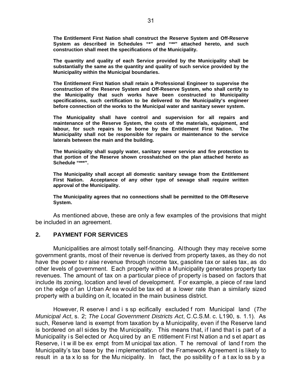**The Entitlement First Nation shall construct the Reserve System and Off-Reserve System as described in Schedules "\*" and "\*\*" attached hereto, and such construction shall meet the specifications of the Municipality.**

**The quantity and quality of each Service provided by the Municipality shall be substantially the same as the quantity and quality of such service provided by the Municipality within the Municipal boundaries.**

**The Entitlement First Nation shall retain a Professional Engineer to supervise the construction of the Reserve System and Off-Reserve System, who shall certify to the Municipality that such works have been constructed to Municipality specifications, such certification to be delivered to the Municipality's engineer before connection of the works to the Municipal water and sanitary sewer system.**

**The Municipality shall have control and supervision for all repairs and maintenance of the Reserve System, the costs of the materials, equipment, and labour, for such repairs to be borne by the Entitlement First Nation. The Municipality shall not be responsible for repairs or maintenance to the service laterals between the main and the building.**

**The Municipality shall supply water, sanitary sewer service and fire protection to that portion of the Reserve shown crosshatched on the plan attached hereto as Schedule "\*\*\*".**

**The Municipality shall accept all domestic sanitary sewage from the Entitlement First Nation. Acceptance of any other type of sewage shall require written approval of the Municipality.**

**The Municipality agrees that no connections shall be permitted to the Off-Reserve System.**

As mentioned above, these are only a few examples of the provisions that might be included in an agreement.

## **2. PAYMENT FOR SERVICES**

Municipalities are almost totally self-financing. Although they may receive some government grants, most of their revenue is derived from property taxes, as they do not have the power to r aise revenue through income tax, gasoline tax or sales tax, as do other levels of government. Each property within a Municipality generates property tax revenues. The amount of tax on a particular piece of property is based on factors that include its zoning, location and level of development. For example, a piece of raw land on the edge of an Urban Area would be tax ed at a lower rate than a similarly sized property with a building on it, located in the main business district.

However, R eserve l and i s sp ecifically excluded f rom Municipal land (*The Municipal Act*, s. 2; *The Local Government Districts Act*, C.C.S.M. c. L190, s. 1.1). As such, Reserve land is exempt from taxation by a Municipality, even if the Reserve land is bordered on all sides by the Municipality. This means that, if land that is part of a Municipality is Selected or Acq uired by an E ntitlement First N ation and set apart as Reserve, it will be ex empt from M unicipal tax ation. T he removal of land from the Municipality's tax base by the i mplementation of the Framework Agreement is likely to result in a ta x lo ss for the Mu nicipality. In fact, the po ssibility of a t ax lo ss b y a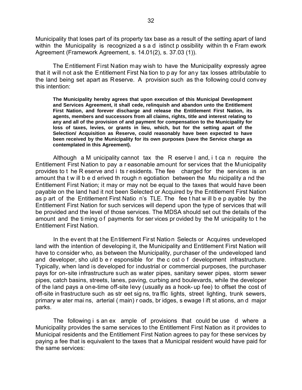Municipality that loses part of its property tax base as a result of the setting apart of land within the Municipality is recognized a s a d istinct p ossibility within the Fram ework Agreement (Framework Agreement, s. 14.01(2), s. 37.03 (1)).

The Entitlement First Nation may wish to have the Municipality expressly agree that it will not ask the Entitlement First Na tion to p ay for any tax losses attributable to the land being set apart as Reserve. A provision such as the following could convey this intention:

**The Municipality hereby agrees that upon execution of this Municipal Development and Services Agreement, it shall cede, relinquish and abandon unto the Entitlement First Nation, and forever discharge and release the Entitlement First Nation, its agents, members and successors from all claims, rights, title and interest relating to any and all of the provision of and payment for compensation to the Municipality for loss of taxes, levies, or grants in lieu, which, but for the setting apart of the Selection/ Acquisition as Reserve, could reasonably have been expected to have been received by the Municipality for its own purposes (save the Service charge as contemplated in this Agreement).**

Although a M unicipality cannot tax the R eserve l and, i t ca n require the Entitlement First Nation to pay a r easonable amount for services that the Municipality provides to t he R eserve and i ts r esidents. The fee charged for the services is an amount tha t w ill b e d erived th rough n egotiation between the Mu nicipality a nd the Entitlement First Nation; it may or may not be equal to the taxes that would have been payable on the land had it not been Selected or Acquired by the Entitlement First Nation as p art of the Entitlement First Natio n's TLE. The fee t hat w ill b e p ayable by the Entitlement First Nation for such services will depend upon the type of services that will be provided and the level of those services. The MDSA should set out the details of the amount and the timing of payments for ser vices provided by the M unicipality to t he Entitlement First Nation.

In the event that the Entitlement First Nation Selects or Acquires undeveloped land with the intention of developing it, the Municipality and Entitlement First Nation will have to consider who, as between the Municipality, purchaser of the undeveloped land and developer, sho uld b e r esponsible for the c ost o f development infrastructure. Typically, when land is developed for industrial or commercial purposes, the purchaser pays for on-site infrastructure such as water pipes, sanitary sewer pipes, storm sewer pipes, catch basins, streets, lanes, paving, curbing and boulevards, while the developer of the land pays a one-time off-site levy (usually as a hook- up fee) to offset the cost of off-site in frastructure such as str eet sig ns, tra ffic lights, street lighting, trunk sewers, primary w ater mai ns, arterial ( main) r oads, br idges, s ewage l ift st ations, an d major parks.

The following i s an ex ample of provisions that could be use d where a Municipality provides the same services to the Entitlement First Nation as it provides to Municipal residents and the Entitlement First Nation agrees to pay for these services by paying a fee that is equivalent to the taxes that a Municipal resident would have paid for the same services: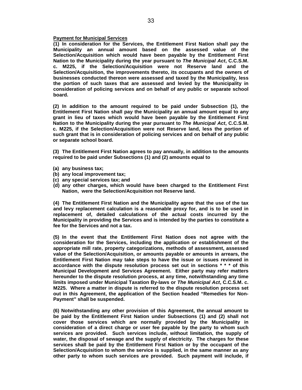## **Payment for Municipal Services**

**(1) In consideration for the Services, the Entitlement First Nation shall pay the Municipality an annual amount based on the assessed value of the Selection/Acquisition which would have been payable by the Entitlement First Nation to the Municipality during the year pursuant to** *The Municipal Act***, C.C.S.M. c. M225, if the Selection/Acquisition were not Reserve land and the Selection/Acquisition, the improvements thereto, its occupants and the owners of businesses conducted thereon were assessed and taxed by the Municipality, less the portion of such taxes that are assessed and levied by the Municipality in consideration of policing services and on behalf of any public or separate school board.**

**(2) In addition to the amount required to be paid under Subsection (1), the Entitlement First Nation shall pay the Municipality an annual amount equal to any grant in lieu of taxes which would have been payable by the Entitlement First Nation to the Municipality during the year pursuant to** *The Municipal Act***, C.C.S.M. c. M225, if the Selection/Acquisition were not Reserve land, less the portion of such grant that is in consideration of policing services and on behalf of any public or separate school board.**

**(3) The Entitlement First Nation agrees to pay annually, in addition to the amounts required to be paid under Subsections (1) and (2) amounts equal to**

- **(a) any business tax;**
- **(b) any local improvement tax;**
- **(c) any special services tax; and**
- **(d) any other charges, which would have been charged to the Entitlement First Nation, were the Selection/Acquisition not Reserve land.**

**(4) The Entitlement First Nation and the Municipality agree that the use of the tax and levy replacement calculation is a reasonable proxy for, and is to be used in replacement of, detailed calculations of the actual costs incurred by the Municipality in providing the Services and is intended by the parties to constitute a fee for the Services and not a tax.**

**(5) In the event that the Entitlement First Nation does not agree with the consideration for the Services, including the application or establishment of the appropriate mill rate, property categorizations, methods of assessment, assessed value of the Selection/Acquisition, or amounts payable or amounts in arrears, the Entitlement First Nation may take steps to have the issue or issues reviewed in accordance with the dispute resolution process set out in sections \* \* \* of this Municipal Development and Services Agreement. Either party may refer matters hereunder to the dispute resolution process, at any time, notwithstanding any time limits imposed under Municipal Taxation By-laws or** *The Municipal Act***, C.C.S.M. c. M225. Where a matter in dispute is referred to the dispute resolution process set out in this Agreement, the application of the Section headed "Remedies for Non-Payment" shall be suspended.**

**(6) Notwithstanding any other provision of this Agreement, the annual amount to be paid by the Entitlement First Nation under Subsections (1) and (2) shall not cover those services which are normally provided by the Municipality in consideration of a direct charge or user fee payable by the party to whom such services are provided. Such services include, without limitation, the supply of water, the disposal of sewage and the supply of electricity. The charges for these services shall be paid by the Entitlement First Nation or by the occupant of the Selection/Acquisition to whom the service is supplied, in the same manner as any other party to whom such services are provided. Such payment will include, if**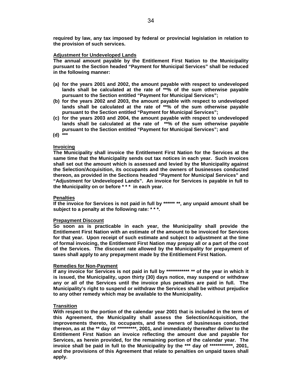**required by law, any tax imposed by federal or provincial legislation in relation to the provision of such services.**

#### **Adjustment for Undeveloped Lands**

**The annual amount payable by the Entitlement First Nation to the Municipality pursuant to the Section headed "Payment for Municipal Services" shall be reduced in the following manner:**

- **(a) for the years 2001 and 2002, the amount payable with respect to undeveloped lands shall be calculated at the rate of \*\*% of the sum otherwise payable pursuant to the Section entitled "Payment for Municipal Services";**
- **(b) for the years 2002 and 2003, the amount payable with respect to undeveloped lands shall be calculated at the rate of \*\*% of the sum otherwise payable pursuant to the Section entitled "Payment for Municipal Services";**
- **(c) for the years 2003 and 2004, the amount payable with respect to undeveloped lands shall be calculated at the rate of \*\*% of the sum otherwise payable pursuant to the Section entitled "Payment for Municipal Services"; and**
- **(d) \*\*\***

#### **Invoicing**

**The Municipality shall invoice the Entitlement First Nation for the Services at the same time that the Municipality sends out tax notices in each year. Such invoices shall set out the amount which is assessed and levied by the Municipality against the Selection/Acquisition, its occupants and the owners of businesses conducted thereon, as provided in the Sections headed "Payment for Municipal Services" and "Adjustment for Undeveloped Lands". An invoice for Services is payable in full to the Municipality on or before \* \* \* in each year.**

### **Penalties**

**If the invoice for Services is not paid in full by \*\*\*\*\*\* \*\*, any unpaid amount shall be subject to a penalty at the following rate: \* \* \*.**

#### **Prepayment Discount**

**So soon as is practicable in each year, the Municipality shall provide the Entitlement First Nation with an estimate of the amount to be invoiced for Services for that year. Upon receipt of such estimate and subject to adjustment at the time of formal invoicing, the Entitlement First Nation may prepay all or a part of the cost of the Services. The discount rate allowed by the Municipality for prepayment of taxes shall apply to any prepayment made by the Entitlement First Nation.**

## **Remedies for Non-Payment**

**If any invoice for Services is not paid in full by \*\*\*\*\*\*\*\*\*\*\*\* \*\* of the year in which it is issued, the Municipality, upon thirty (30) days notice, may suspend or withdraw any or all of the Services until the invoice plus penalties are paid in full. The Municipality's right to suspend or withdraw the Services shall be without prejudice to any other remedy which may be available to the Municipality.**

## **Transition**

**With respect to the portion of the calendar year 2001 that is included in the term of this Agreement, the Municipality shall assess the Selection/Acquisition, the improvements thereto, its occupants, and the owners of businesses conducted thereon, as at the \*\* day of \*\*\*\*\*\*\*\*\*\*, 2001, and immediately thereafter deliver to the Entitlement First Nation an invoice reflecting the amount due and payable for Services, as herein provided, for the remaining portion of the calendar year. The invoice shall be paid in full to the Municipality by the \*\*\* day of \*\*\*\*\*\*\*\*\*\*\*\*, 2001, and the provisions of this Agreement that relate to penalties on unpaid taxes shall apply.**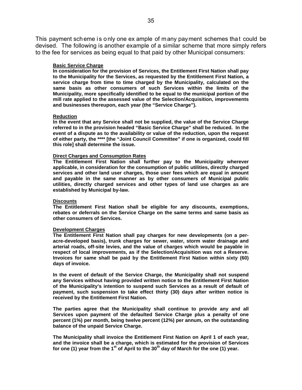This payment scheme is only one ex ample of many payment schemes that could be devised. The following is another example of a similar scheme that more simply refers to the fee for services as being equal to that paid by other Municipal consumers:

## **Basic Service Charge**

**In consideration for the provision of Services, the Entitlement First Nation shall pay to the Municipality for the Services, as requested by the Entitlement First Nation, a service charge from time to time charged by the Municipality, calculated on the same basis as other consumers of such Services within the limits of the Municipality, more specifically identified to be equal to the municipal portion of the mill rate applied to the assessed value of the Selection/Acquisition, improvements and businesses thereupon, each year (the "Service Charge").**

## **Reduction**

**In the event that any Service shall not be supplied, the value of the Service Charge referred to in the provision headed "Basic Service Charge" shall be reduced. In the event of a dispute as to the availability or value of the reduction, upon the request of either party, the \*\*\*\* [the "Joint Council Committee" if one is organized, could fill this role] shall determine the issue.**

## **Direct Charges and Consumption Rates**

**The Entitlement First Nation shall further pay to the Municipality wherever applicable, in consideration for the consumption of public utilities, directly charged services and other land user charges, those user fees which are equal in amount and payable in the same manner as by other consumers of Municipal public utilities, directly charged services and other types of land use charges as are established by Municipal by-law.**

### **Discounts**

**The Entitlement First Nation shall be eligible for any discounts, exemptions, rebates or deferrals on the Service Charge on the same terms and same basis as other consumers of Services.**

### **Development Charges**

**The Entitlement First Nation shall pay charges for new developments (on a peracre-developed basis), trunk charges for sewer, water, storm water drainage and arterial roads, off-site levies, and the value of charges which would be payable in respect of local improvements, as if the Selection/Acquisition was not a Reserve. Invoices for same shall be paid by the Entitlement First Nation within sixty (60) days of invoice.**

**In the event of default of the Service Charge, the Municipality shall not suspend any Services without having provided written notice to the Entitlement First Nation of the Municipality's intention to suspend such Services as a result of default of payment, such suspension to take effect thirty (30) days after written notice is received by the Entitlement First Nation.**

**The parties agree that the Municipality shall continue to provide any and all Services upon payment of the defaulted Service Charge plus a penalty of one percent (1%) per month, being twelve percent (12%) per annum, on the outstanding balance of the unpaid Service Charge.**

**The Municipality shall invoice the Entitlement First Nation on April 1 of each year, and the invoice shall be a charge, which is estimated for the provision of Services** for one (1) year from the 1<sup>st</sup> of April to the 30<sup>th</sup> day of March for the one (1) year.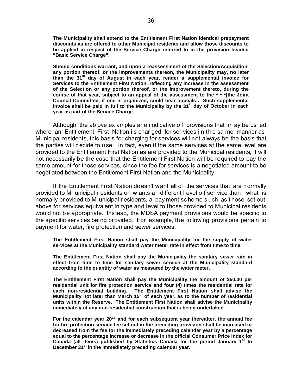**The Municipality shall extend to the Entitlement First Nation identical prepayment discounts as are offered to other Municipal residents and allow those discounts to be applied in respect of the Service Charge referred to in the provision headed "Basic Service Charge".**

**Should conditions warrant, and upon a reassessment of the Selection/Acquisition, any portion thereof, or the improvements thereon, the Municipality may, no later than the 31st day of August in each year, render a supplemental invoice for Services to the Entitlement First Nation, reflecting any increase in the assessment of the Selection or any portion thereof, or the improvement thereto, during the course of that year, subject to an appeal of the assessment to the \* \* \*[the Joint Council Committee, if one is organized, could hear appeals]. Such supplemental invoice shall be paid in full to the Municipality by the 31st day of October in each year as part of the Service Charge.**

Although the ab ove ex amples ar e i ndicative o f provisions that m ay be us ed where an Entitlement First Nation i s char ged for ser vices i n th e sa me manner as Municipal residents, this basis for charging for services will not always be the basis that the parties will decide to u se. In fact, even if the same services at the same level are provided to the Entitlement First Nation as are provided to the Municipal residents, it will not necessarily be the case that the Entitlement First Nation will be required to pay the same amount for those services, since the fee for services is a negotiated amount to be negotiated between the Entitlement First Nation and the Municipality.

If the Entitlement First Nation doesn't want all of the services that are normally provided to M unicipal r esidents or w ants a different l evel o f ser vice than what is normally pr ovided to M unicipal r esidents, a pay ment sc heme s uch as t hose set out above for services equivalent in type and level to those provided to Municipal residents would not be appropriate. Instead, the MDSA payment provisions would be specific to the specific services being provided. For example, the following provisions pertain to payment for water, fire protection and sewer services:

**The Entitlement First Nation shall pay the Municipality for the supply of water services at the Municipality standard water meter rate in effect from time to time.**

**The Entitlement First Nation shall pay the Municipality the sanitary sewer rate in effect from time to time for sanitary sewer service at the Municipality standard according to the quantity of water as measured by the water meter.**

**The Entitlement First Nation shall pay the Municipality the amount of \$50.00 per residential unit for fire protection service and four (4) times the residential rate for each non-residential building. The Entitlement First Nation shall advise the** Municipality not later than March 15<sup>th</sup> of each year, as to the number of residential **units within the Reserve. The Entitlement First Nation shall advise the Municipality immediately of any non-residential construction that is being undertaken.**

**For the calendar year 20\*\* and for each subsequent year thereafter, the annual fee for fire protection service fee set out in the preceding provision shall be increased or decreased from the fee for the immediately preceding calendar year by a percentage equal to the percentage increase or decrease in the official Consumer Price Index for** Canada (all items) published by Statistics Canada for the period January 1<sup>st</sup> to **December 31st in the immediately preceding calendar year.**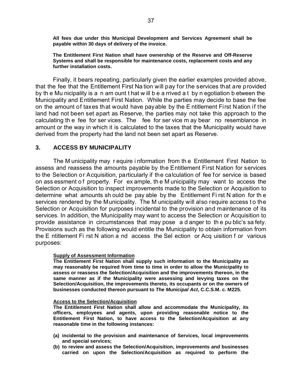**All fees due under this Municipal Development and Services Agreement shall be payable within 30 days of delivery of the invoice.**

**The Entitlement First Nation shall have ownership of the Reserve and Off-Reserve Systems and shall be responsible for maintenance costs, replacement costs and any further installation costs.**

Finally, it bears repeating, particularly given the earlier examples provided above, that the fee that the Entitlement First Na tion will pay for the services that are provided by th e Mu nicipality is a n am ount t hat w ill b e a rrived a t by n egotiation b etween the Municipality and Entitlement First Nation. While the parties may decide to base the fee on the amount of taxes that would have payable by the E ntitlement First Nation if the land had not been set apart as Reserve, the parties may not take this approach to the calculating th e fee for ser vices. The fee for ser vice m ay bear no resemblance in amount or the way in which it is calculated to the taxes that the Municipality would have derived from the property had the land not been set apart as Reserve.

# **3. ACCESS BY MUNICIPALITY**

The M unicipality may r equire i nformation from th e Entitlement First Nation to assess and reassess the amounts payable by the Entitlement First Nation for services to the Selection or Acquisition, particularly if the calculation of fee for service is based on ass essment o f property. For ex ample, th e M unicipality may want to access the Selection or Acquisition to inspect improvements made to the Selection or Acquisition to determine what amounts sh ould be pay able by the Entitlement Fi rst N ation for th e services rendered by the Municipality. The M unicipality will also require access to the Selection or Acquisition for purposes incidental to the provision and maintenance of its services. In addition, the Municipality may want to access the Selection or Acquisition to provide assistance in circumstances that may pose a d anger to th e pu blic's sa fety. Provisions such as the following would entitle the Municipality to obtain information from the E ntitlement Fi rst N ation a nd access the Sel ection or Acq uisition f or various purposes:

## **Supply of Assessment Information**

**The Entitlement First Nation shall supply such information to the Municipality as may reasonably be required from time to time in order to allow the Municipality to assess or reassess the Selection/Acquisition and the improvements thereon, in the same manner as if the Municipality were assessing and levying taxes on the Selection/Acquisition, the improvements thereto, its occupants or on the owners of businesses conducted thereon pursuant to** *The Municipal Act***, C.C.S.M. c. M225***.*

## **Access to the Selection/Acquisition**

**The Entitlement First Nation shall allow and accommodate the Municipality, its officers, employees and agents, upon providing reasonable notice to the Entitlement First Nation, to have access to the Selection/Acquisition at any reasonable time in the following instances:**

- **(a) incidental to the provision and maintenance of Services, local improvements and special services;**
- **(b) to review and assess the Selection/Acquisition, improvements and businesses carried on upon the Selection/Acquisition as required to perform the**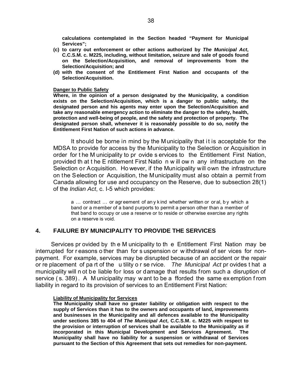**calculations contemplated in the Section headed "Payment for Municipal Services";**

- **(c) to carry out enforcement or other actions authorized by** *The Municipal Act***, C.C.S.M. c. M225, including, without limitation, seizure and sale of goods found on the Selection/Acquisition, and removal of improvements from the Selection/Acquisition; and**
- **(d) with the consent of the Entitlement First Nation and occupants of the Selection/Acquisition.**

## **Danger to Public Safety**

**Where, in the opinion of a person designated by the Municipality, a condition exists on the Selection/Acquisition, which is a danger to public safety, the designated person and his agents may enter upon the Selection/Acquisition and take any reasonable emergency action to eliminate the danger to the safety, health, protection and well-being of people, and the safety and protection of property. The designated person shall, whenever it is reasonably possible to do so, notify the Entitlement First Nation of such actions in advance.**

It should be borne in mind by the Municipality that it is acceptable for the MDSA to provide for access by the Municipality to the Selection or Acquisition in order for t he M unicipality to pr ovide s ervices to the Entitlement First Nation, provided th at t he E ntitlement First Natio n w ill ow n any infrastructure on the Selection or Acquisition. Ho wever, if the Municipality will own the infrastructure on the Selection or Acquisition, the Municipality must also obtain a permit from Canada allowing for use and occupancy on the Reserve, due to subsection 28(1) of the *Indian Act*, c. I-5 which provides:

a … contract … or agr eement of an y k ind whether written or or al, b y which a band or a member of a band purports to permit a person other than a member of that band to occupy or use a reserve or to reside or otherwise exercise any rights on a reserve is void.

# **4. FAILURE BY MUNICIPALITY TO PROVIDE THE SERVICES**

Services pr ovided by th e M unicipality to th e Entitlement First Nation may be interrupted for r easons o ther than for s uspension or w ithdrawal of ser vices for nonpayment. For example, services may be disrupted because of an accident or the repair or re placement of pa rt of the u tility o r se rvice. *The Municipal Act* pr ovides t hat a municipality will n ot be liable for loss or damage that results from such a disruption of service ( s. 389) . A M unicipality may w ant to be a fforded the same ex emption f rom liability in regard to its provision of services to an Entitlement First Nation:

## **Liability of Municipality for Services**

**The Municipality shall have no greater liability or obligation with respect to the supply of Services than it has to the owners and occupants of land, improvements and businesses in the Municipality and all defences available to the Municipality under sections 385 to 404 of** *The Municipal Act***, C.C.S.M. c. M225 with respect to the provision or interruption of services shall be available to the Municipality as if incorporated in this Municipal Development and Services Agreement. The Municipality shall have no liability for a suspension or withdrawal of Services pursuant to the Section of this Agreement that sets out remedies for non-payment.**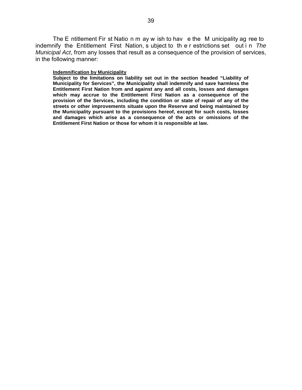The E ntitlement Fir st Natio n m ay w ish to hav e the M unicipality ag ree to indemnify the Entitlement First Nation, s ubject to th e r estrictions set out i n *The Municipal Act*, from any losses that result as a consequence of the provision of services, in the following manner:

## **Indemnification by Municipality**

**Subject to the limitations on liability set out in the section headed "Liability of Municipality for Services", the Municipality shall indemnify and save harmless the Entitlement First Nation from and against any and all costs, losses and damages which may accrue to the Entitlement First Nation as a consequence of the provision of the Services, including the condition or state of repair of any of the streets or other improvements situate upon the Reserve and being maintained by the Municipality pursuant to the provisions hereof, except for such costs, losses and damages which arise as a consequence of the acts or omissions of the Entitlement First Nation or those for whom it is responsible at law.**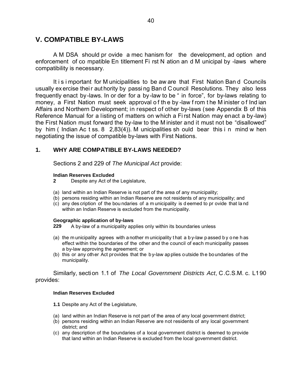# **V. COMPATIBLE BY-LAWS**

A M DSA should pr ovide a mec hanism for the development, ad option and enforcement of co mpatible En titlement Fi rst N ation an d M unicipal by -laws where compatibility is necessary.

It i s i mportant for M unicipalities to be aw are that First Nation Ban d Councils usually ex ercise their aut hority by passing Band Council Resolutions. They also less frequently enact by-laws. In or der for a by-law to be " in force", for by-laws relating to money, a First Nation must seek approval o f th e by -law f rom t he M inister o f Ind ian Affairs and Northern Development; in respect of other by-laws (see Appendix B of this Reference Manual for a listing of matters on which a Fi rst Nation may enact a by-law) the First Nation must forward the by-law to the M inister and it must not be "disallowed" by him ( Indian Ac t ss. 8 2,83(4)). M unicipalities sh ould bear this i n mind w hen negotiating the issue of compatible by-laws with First Nations.

# **1. WHY ARE COMPATIBLE BY-LAWS NEEDED?**

Sections 2 and 229 of *The Municipal Act* provide:

## **Indian Reserves Excluded**

- **2** Despite any Act of the Legislature,
- (a) land within an Indian Reserve is not part of the area of any municipality;
- (b) persons residing within an Indian Reserve are not residents of any municipality; and
- (c) any des cription of the bou ndaries of a m unicipality is d eemed to pr ovide that la nd within an Indian Reserve is excluded from the municipality.

## **Geographic application of by-laws**

**229** A by-law of a municipality applies only within its boundaries unless

- (a) the m unicipality agrees with a nother m unicipality t hat a b y-law p assed b y o ne h as effect within the boundaries of the other and the council of each municipality passes a by-law approving the agreement; or
- (b) this or any other Act provides that the by-law applies outside the boundaries of the municipality.

Similarly, section 1.1 of *The Local Government Districts Act*, C.C.S.M. c. L190 provides:

## **Indian Reserves Excluded**

- **1.1** Despite any Act of the Legislature,
- (a) land within an Indian Reserve is not part of the area of any local government district;
- (b) persons residing within an Indian Reserve are not residents of any local government district; and
- (c) any description of the boundaries of a local government district is deemed to provide that land within an Indian Reserve is excluded from the local government district.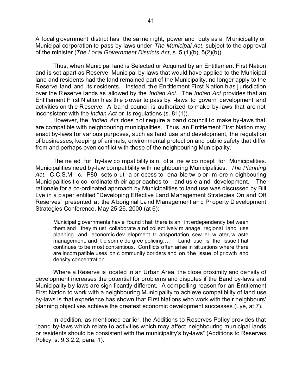A local g overnment district has the sa me r ight, power and duty as a M unicipality or Municipal corporation to pass by-laws under *The Municipal Act*, subject to the approval of the minister (*The Local Government Districts Act*, s. 5 (1)(b), 5(2)(b)).

Thus, when Municipal land is Selected or Acquired by an Entitlement First Nation and is set apart as Reserve, Municipal by-laws that would have applied to the Municipal land and residents had the land remained part of the Municipality, no longer apply to the Reserve land and its residents. Instead, the Entitlement First Nation has jurisdiction over the R eserve lands as allowed by the *Indian Act*. The *Indian Act* provides that an Entitlement Fi rst N ation h as th e p ower to pass by -laws to govern development and activities on th e Reserve. A band council is authorized to make by-laws that are not inconsistent with the *Indian Act* or its regulations (s. 81(1)).

However, the *Indian Act* does not require a band council to make by-laws that are compatible with neighbouring municipalities. Thus, an Entitlement First Nation may enact by-laws for various purposes, such as land use and development, the regulation of businesses, keeping of animals, environmental protection and public safety that differ from and perhaps even conflict with those of the neighbouring Municipality.

The ne ed for by-law co mpatibility is n ot a ne w co ncept for Municipalities. Municipalities need by-law compatibility with neighbouring Municipalities. *The Planning Act*, C.C.S.M. c. P80 sets o ut a pr ocess to ena ble tw o or m ore n eighbouring Municipalities t o co- ordinate th eir appr oaches to l and us e a nd development. The rationale for a co-ordinated approach by Municipalities to land use was discussed by Bill Lye in a paper entitled "Developing Effective Land Management Strategies On and Off Reserves" presented at the A boriginal La nd M anagement an d Pr operty D evelopment Strategies Conference, May 25-26, 2000 (at 6):

Municipal g overnments hav e found t hat there is an int erdependency bet ween them and they m ust collaborate a nd collect ively m anage regional land use planning and economic dev elopment, tr ansportation, sew er, w ater, w aste management, and to som e de gree policing.... Land use is the issue that continues to be most contentious. Conflicts often arise in situations where there are incom patible uses on c ommunity bor ders and on t he issue of gr owth and density concentration.

Where a Reserve is located in an Urban Area, the close proximity and density of development increases the potential for problems and disputes if the Band by-laws and Municipality by-laws are significantly different. A compelling reason for an Entitlement First Nation to work with a neighbouring Municipality to achieve compatibility of land use by-laws is that experience has shown that First Nations who work with their neighbours' planning objectives achieve the greatest economic development successes (Lye, at 7).

In addition, as mentioned earlier, the Additions to Reserves Policy provides that "band by-laws which relate to activities which may affect neighbouring municipal lands or residents should be consistent with the municipality's by-laws" (Additions to Reserves Policy, s. 9.3.2.2, para. 1).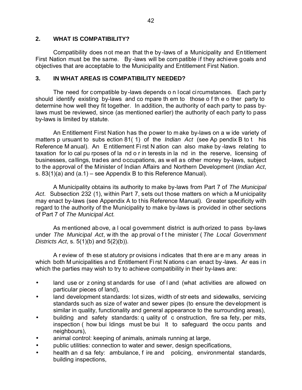# **2. WHAT IS COMPATIBILITY?**

Compatibility does not mean that the by-laws of a Municipality and Entitlement First Nation must be the same. By -laws will be com patible if they achieve goals and objectives that are acceptable to the Municipality and Entitlement First Nation.

# **3. IN WHAT AREAS IS COMPATIBILITY NEEDED?**

The need for compatible by-laws depends o n local circumstances. Each party should identify existing by-laws and co mpare th em to those o f th e o ther party to determine how well they fit together. In addition, the authority of each party to pass bylaws must be reviewed, since (as mentioned earlier) the authority of each party to pass by-laws is limited by statute.

An Entitlement First Nation has the power to m ake by-laws on a w ide variety of matters p ursuant to subs ection 81( 1) of the *Indian Act* (see Ap pendix B to t his Reference M anual). An E ntitlement Fi rst N ation can also make by -laws relating to taxation for lo cal pu rposes of la nd o r in terests in la nd in the reserve, licensing of businesses, callings, trades and occupations, as w ell as other money by-laws, subject to the approval of the Minister of Indian Affairs and Northern Development (*Indian Act*, s. 83(1)(a) and (a.1) – see Appendix B to this Reference Manual).

A Municipality obtains its authority to make by-laws from Part 7 of *The Municipal Act*. Subsection 232 (1), within Part 7, sets out those matters on which a M unicipality may enact by-laws (see Appendix A to this Reference Manual). Greater specificity with regard to the authority of the Municipality to make by-laws is provided in other sections of Part 7 of *The Municipal Act.*

As mentioned above, a l ocal government district is authorized to pass by-laws under *The Municipal Act*, w ith the ap proval o f t he minister ( *The Local Government Districts Act*, s. 5(1)(b) and 5(2)(b)).

A r eview of th ese st atutory pr ovisions i ndicates that th ere ar e m any areas in which both M unicipalities and Entitlement First N ations c an enact by -laws. Ar eas in which the parties may wish to try to achieve compatibility in their by-laws are:

- land use or z oning st andards for use of I and (what activities are allowed on particular pieces of land),
- land development standards: lot sizes, width of streets and sidewalks, servicing standards such as size of water and sewer pipes (to ensure the development is similar in quality, functionality and general appearance to the surrounding areas),
- building and safety standards: q uality of c onstruction, fire sa fety, per mits, inspection ( how bui ldings must be bui lt to safeguard the occu pants and neighbours),
- animal control: keeping of animals, animals running at large,
- public utilities: connection to water and sewer, design specifications,
- health an d sa fety: ambulance, f ire and policing, environmental standards, building inspections,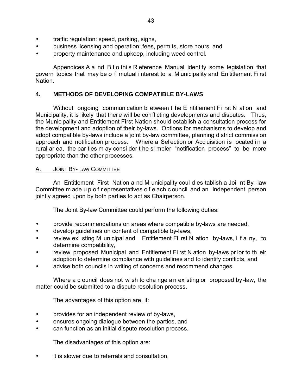- traffic regulation: speed, parking, signs,
- business licensing and operation: fees, permits, store hours, and
- property maintenance and upkeep, including weed control.

Appendices A a nd B t o thi s R eference Manual identify some legislation that govern topics that may be o f mutual i nterest to a M unicipality and En titlement Fi rst Nation.

# **4. METHODS OF DEVELOPING COMPATIBLE BY-LAWS**

Without ongoing communication b etween t he E ntitlement Fi rst N ation and Municipality, it is likely that there will be conflicting developments and disputes. Thus, the Municipality and Entitlement First Nation should establish a consultation process for the development and adoption of their by-laws. Options for mechanisms to develop and adopt compatible by-laws include a joint by-law committee, planning district commission approach and notification process. Where a Selection or Acquisition is located in a rural ar ea, the par ties m ay consi der t he si mpler "notification process" to be more appropriate than the other processes.

# A. JOINT BY- LAW COMMITTEE

An Entitlement First Nation a nd M unicipality coul d es tablish a Joi nt By -law Committee m ade u p o f r epresentatives o f e ach c ouncil and an independent person jointly agreed upon by both parties to act as Chairperson.

The Joint By-law Committee could perform the following duties:

- provide recommendations on areas where compatible by-laws are needed,
- develop guidelines on content of compatible by-laws,
- review exi sting M unicipal and Entitlement Fi rst N ation by-laws, i f a ny, to determine compatibility,
- review proposed Municipal and Entitlement Fi rst N ation by-laws pr ior to th eir adoption to determine compliance with guidelines and to identify conflicts, and
- advise both councils in writing of concerns and recommend changes.

Where a c ouncil does not wish to cha nge an existing or proposed by-law, the matter could be submitted to a dispute resolution process.

The advantages of this option are, it:

- provides for an independent review of by-laws,
- ensures ongoing dialogue between the parties, and
- can function as an initial dispute resolution process.

The disadvantages of this option are:

it is slower due to referrals and consultation,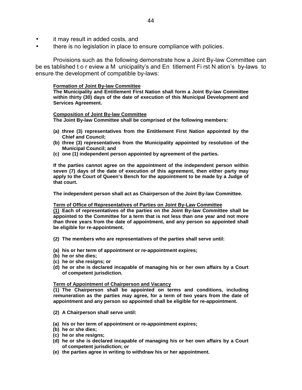- it may result in added costs, and
- there is no legislation in place to ensure compliance with policies.

Provisions such as the following demonstrate how a Joint By-law Committee can be es tablished t o r eview a M unicipality's and En titlement Fi rst N ation's by-laws to ensure the development of compatible by-laws:

## **Formation of Joint By-law Committee**

**The Municipality and Entitlement First Nation shall form a Joint By-law Committee within thirty (30) days of the date of execution of this Municipal Development and Services Agreement.**

## **Composition of Joint By-law Committee**

**The Joint By-law Committee shall be comprised of the following members:**

- **(a) three (3) representatives from the Entitlement First Nation appointed by the Chief and Council;**
- **(b) three (3) representatives from the Municipality appointed by resolution of the Municipal Council; and**
- **(c) one (1) independent person appointed by agreement of the parties.**

**If the parties cannot agree on the appointment of the independent person within seven (7) days of the date of execution of this agreement, then either party may apply to the Court of Queen's Bench for the appointment to be made by a Judge of that court.**

**The independent person shall act as Chairperson of the Joint By-law Committee.**

### **Term of Office of Representatives of Parties on Joint By-Law Committee**

**(1) Each of representatives of the parties on the Joint By-law Committee shall be appointed to the Committee for a term that is not less than one year and not more than three years from the date of appointment, and any person so appointed shall be eligible for re-appointment.**

**(2) The members who are representatives of the parties shall serve until:**

- **(a) his or her term of appointment or re-appointment expires;**
- **(b) he or she dies;**
- **(c) he or she resigns; or**
- **(d) he or she is declared incapable of managing his or her own affairs by a Court of competent jurisdiction.**

## **Term of Appointment of Chairperson and Vacancy**

**(1) The Chairperson shall be appointed on terms and conditions, including remuneration as the parties may agree, for a term of two years from the date of appointment and any person so appointed shall be eligible for re-appointment.**

- **(2) A Chairperson shall serve until:**
- **(a) his or her term of appointment or re-appointment expires;**
- **(b) he or she dies;**
- **(c) he or she resigns;**
- **(d) he or she is declared incapable of managing his or her own affairs by a Court of competent jurisdiction; or**
- **(e) the parties agree in writing to withdraw his or her appointment.**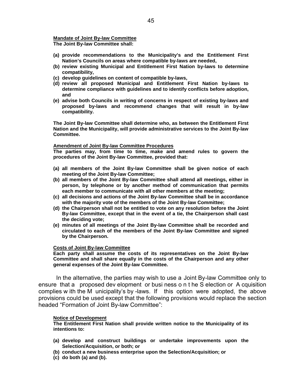## **Mandate of Joint By-law Committee**

**The Joint By-law Committee shall:**

- **(a) provide recommendations to the Municipality's and the Entitlement First Nation's Councils on areas where compatible by-laws are needed,**
- **(b) review existing Municipal and Entitlement First Nation by-laws to determine compatibility,**
- **(c) develop guidelines on content of compatible by-laws,**
- **(d) review all proposed Municipal and Entitlement First Nation by-laws to determine compliance with guidelines and to identify conflicts before adoption, and**
- **(e) advise both Councils in writing of concerns in respect of existing by-laws and proposed by-laws and recommend changes that will result in by-law compatibility.**

**The Joint By-law Committee shall determine who, as between the Entitlement First Nation and the Municipality, will provide administrative services to the Joint By-law Committee.**

## **Amendment of Joint By-law Committee Procedures**

**The parties may, from time to time, make and amend rules to govern the procedures of the Joint By-law Committee, provided that:**

- **(a) all members of the Joint By-law Committee shall be given notice of each meeting of the Joint By-law Committee;**
- **(b) all members of the Joint By-law Committee shall attend all meetings, either in person, by telephone or by another method of communication that permits each member to communicate with all other members at the meeting;**
- **(c) all decisions and actions of the Joint By-law Committee shall be in accordance with the majority vote of the members of the Joint By-law Committee;**
- **(d) the Chairperson shall not be entitled to vote on any resolution before the Joint By-law Committee, except that in the event of a tie, the Chairperson shall cast the deciding vote;**
- **(e) minutes of all meetings of the Joint By-law Committee shall be recorded and circulated to each of the members of the Joint By-law Committee and signed by the Chairperson.**

## **Costs of Joint By-law Committee**

**Each party shall assume the costs of its representatives on the Joint By-law Committee and shall share equally in the costs of the Chairperson and any other general expenses of the Joint By-law Committee.**

In the alternative, the parties may wish to use a Joint By-law Committee only to ensure that a proposed dev elopment or busi ness o n t he S election or A cquisition complies w ith the M unicipality's by -laws. If this option were adopted, the above provisions could be used except that the following provisions would replace the section headed "Formation of Joint By-law Committee":

## **Notice of Development**

**The Entitlement First Nation shall provide written notice to the Municipality of its intentions to:**

- **(a) develop and construct buildings or undertake improvements upon the Selection/Acquisition, or both; or**
- **(b) conduct a new business enterprise upon the Selection/Acquisition; or**
- **(c) do both (a) and (b).**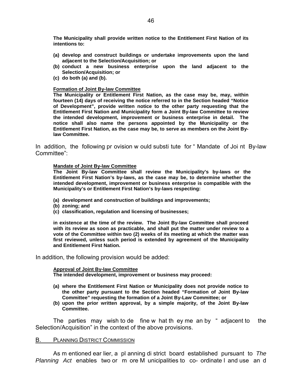**The Municipality shall provide written notice to the Entitlement First Nation of its intentions to:**

- **(a) develop and construct buildings or undertake improvements upon the land adjacent to the Selection/Acquisition; or**
- **(b) conduct a new business enterprise upon the land adjacent to the Selection/Acquisition; or**
- **(c) do both (a) and (b).**

## **Formation of Joint By-law Committee**

**The Municipality or Entitlement First Nation, as the case may be, may, within fourteen (14) days of receiving the notice referred to in the Section headed "Notice of Development", provide written notice to the other party requesting that the Entitlement First Nation and Municipality form a Joint By-law Committee to review the intended development, improvement or business enterprise in detail. The notice shall also name the persons appointed by the Municipality or the Entitlement First Nation, as the case may be, to serve as members on the Joint Bylaw Committee.**

In addition, the following pr ovision w ould substi tute for " Mandate of Joi nt By-law Committee":

## **Mandate of Joint By-law Committee**

**The Joint By-law Committee shall review the Municipality's by-laws or the Entitlement First Nation's by-laws, as the case may be, to determine whether the intended development, improvement or business enterprise is compatible with the Municipality's or Entitlement First Nation's by-laws respecting:**

- **(a) development and construction of buildings and improvements;**
- **(b) zoning; and**
- **(c) classification, regulation and licensing of businesses;**

**in existence at the time of the review. The Joint By-law Committee shall proceed with its review as soon as practicable, and shall put the matter under review to a vote of the Committee within two (2) weeks of its meeting at which the matter was first reviewed, unless such period is extended by agreement of the Municipality and Entitlement First Nation.**

In addition, the following provision would be added:

## **Approval of Joint By-law Committee**

**The intended development, improvement or business may proceed:**

- **(a) where the Entitlement First Nation or Municipality does not provide notice to the other party pursuant to the Section headed "Formation of Joint By-law Committee" requesting the formation of a Joint By-Law Committee; or**
- **(b) upon the prior written approval, by a simple majority, of the Joint By-law Committee.**

The parties may wish to de fine w hat th ey me an by " adjacent to the Selection/Acquisition" in the context of the above provisions.

## B. PLANNING DISTRICT COMMISSION

As m entioned ear lier, a pl anning di strict board established pursuant to *The Planning Act* enables two or m ore M unicipalities to co- ordinate l and use an d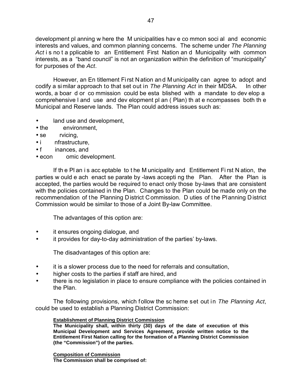development pl anning w here the M unicipalities hav e co mmon soci al and economic interests and values, and common planning concerns. The scheme under *The Planning Act* i s no t a pplicable to an Entitlement First Nation an d Municipality with common interests, as a "band council" is not an organization within the definition of "municipality" for purposes of the *Act*.

However, an En titlement Fi rst N ation an d M unicipality can agree to adopt and codify a similar approach to that set out in *The Planning Act* in their MDSA. In other words, a boar d or co mmission could be esta blished with a mandate to dev elop a comprehensive l and use and dev elopment pl an ( Plan) th at e ncompasses both th e Municipal and Reserve lands. The Plan could address issues such as:

- land use and development,
- the environment,
- se rvicing,
- i nfrastructure,
- f inances, and
- econ omic development.

If th e Pl an i s acc eptable to t he M unicipality and Entitlement Fi rst N ation, the parties w ould e ach enact se parate by -laws accepti ng the Plan. After the Plan is accepted, the parties would be required to enact only those by-laws that are consistent with the policies contained in the Plan. Changes to the Plan could be made only on the recommendation of the Planning District Commission. D uties of the Planning District Commission would be similar to those of a Joint By-law Committee.

The advantages of this option are:

- it ensures ongoing dialogue, and
- it provides for day-to-day administration of the parties' by-laws.

The disadvantages of this option are:

- it is a slower process due to the need for referrals and consultation,
- higher costs to the parties if staff are hired, and
- there is no legislation in place to ensure compliance with the policies contained in the Plan.

The following provisions, which follow the sc heme set out in *The Planning Act*, could be used to establish a Planning District Commission:

# **Establishment of Planning District Commission**

**The Municipality shall, within thirty (30) days of the date of execution of this Municipal Development and Services Agreement, provide written notice to the Entitlement First Nation calling for the formation of a Planning District Commission (the "Commission") of the parties.**

**Composition of Commission The Commission shall be comprised of:**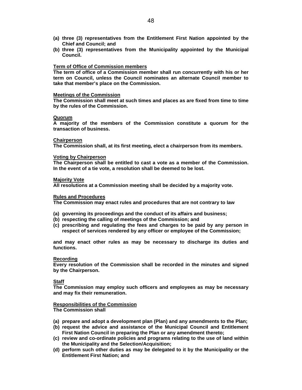- **(a) three (3) representatives from the Entitlement First Nation appointed by the Chief and Council; and**
- **(b) three (3) representatives from the Municipality appointed by the Municipal Council.**

## **Term of Office of Commission members**

**The term of office of a Commission member shall run concurrently with his or her term on Council, unless the Council nominates an alternate Council member to take that member's place on the Commission.**

### **Meetings of the Commission**

**The Commission shall meet at such times and places as are fixed from time to time by the rules of the Commission.**

### **Quorum**

**A majority of the members of the Commission constitute a quorum for the transaction of business.**

## **Chairperson**

**The Commission shall, at its first meeting, elect a chairperson from its members.**

### **Voting by Chairperson**

**The Chairperson shall be entitled to cast a vote as a member of the Commission. In the event of a tie vote, a resolution shall be deemed to be lost.**

### **Majority Vote**

**All resolutions at a Commission meeting shall be decided by a majority vote.**

## **Rules and Procedures**

**The Commission may enact rules and procedures that are not contrary to law**

- **(a) governing its proceedings and the conduct of its affairs and business;**
- **(b) respecting the calling of meetings of the Commission; and**
- **(c) prescribing and regulating the fees and charges to be paid by any person in respect of services rendered by any officer or employee of the Commission;**

**and may enact other rules as may be necessary to discharge its duties and functions.**

### **Recording**

**Every resolution of the Commission shall be recorded in the minutes and signed by the Chairperson.**

## **Staff**

**The Commission may employ such officers and employees as may be necessary and may fix their remuneration.**

# **Responsibilities of the Commission**

**The Commission shall**

- **(a) prepare and adopt a development plan (Plan) and any amendments to the Plan;**
- **(b) request the advice and assistance of the Municipal Council and Entitlement First Nation Council in preparing the Plan or any amendment thereto;**
- **(c) review and co-ordinate policies and programs relating to the use of land within the Municipality and the Selection/Acquisition;**
- **(d) perform such other duties as may be delegated to it by the Municipality or the Entitlement First Nation; and**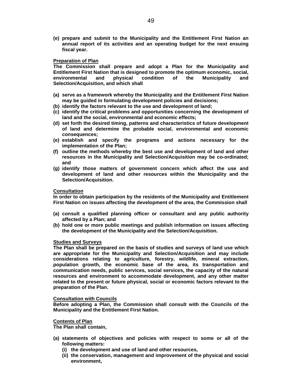**(e) prepare and submit to the Municipality and the Entitlement First Nation an annual report of its activities and an operating budget for the next ensuing fiscal year.**

## **Preparation of Plan**

**The Commission shall prepare and adopt a Plan for the Municipality and Entitlement First Nation that is designed to promote the optimum economic, social, environmental and physical condition of the Municipality and Selection/Acquisition, and which shall**

- **(a) serve as a framework whereby the Municipality and the Entitlement First Nation may be guided in formulating development policies and decisions;**
- **(b) identify the factors relevant to the use and development of land;**
- **(c) identify the critical problems and opportunities concerning the development of land and the social, environmental and economic effects;**
- **(d) set forth the desired timing, patterns and characteristics of future development of land and determine the probable social, environmental and economic consequences;**
- **(e) establish and specify the programs and actions necessary for the implementation of the Plan;**
- **(f) outline the methods whereby the best use and development of land and other resources in the Municipality and Selection/Acquisition may be co-ordinated; and**
- **(g) identify those matters of government concern which affect the use and development of land and other resources within the Municipality and the Selection/Acquisition.**

### **Consultation**

**In order to obtain participation by the residents of the Municipality and Entitlement First Nation on issues affecting the development of the area, the Commission shall**

- **(a) consult a qualified planning officer or consultant and any public authority affected by a Plan; and**
- **(b) hold one or more public meetings and publish information on issues affecting the development of the Municipality and the Selection/Acquisition.**

### **Studies and Surveys**

**The Plan shall be prepared on the basis of studies and surveys of land use which are appropriate for the Municipality and Selection/Acquisition and may include considerations relating to agriculture, forestry, wildlife, mineral extraction, population growth, the economic base of the area, its transportation and communication needs, public services, social services, the capacity of the natural resources and environment to accommodate development, and any other matter related to the present or future physical, social or economic factors relevant to the preparation of the Plan.**

### **Consultation with Councils**

**Before adopting a Plan, the Commission shall consult with the Councils of the Municipality and the Entitlement First Nation.**

## **Contents of Plan**

**The Plan shall contain,**

- **(a) statements of objectives and policies with respect to some or all of the following matters:**
	- **(i) the development and use of land and other resources,**
	- **(ii) the conservation, management and improvement of the physical and social environment,**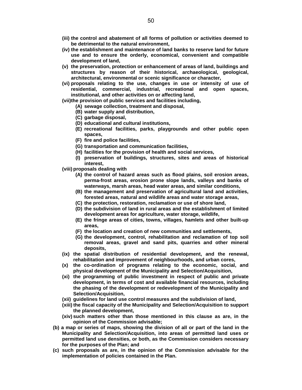- **(iii) the control and abatement of all forms of pollution or activities deemed to be detrimental to the natural environment,**
- **(iv) the establishment and maintenance of land banks to reserve land for future use and to ensure the orderly, economical, convenient and compatible development of land,**
- **(v) the preservation, protection or enhancement of areas of land, buildings and structures by reason of their historical, archaeological, geological, architectural, environmental or scenic significance or character,**
- **(vi) proposals relating to the use, changes in use or intensity of use of residential, commercial, industrial, recreational and open spaces, institutional, and other activities on or affecting land,**
- **(vii) the provision of public services and facilities including,**
	- **(A) sewage collection, treatment and disposal,**
	- **(B) water supply and distribution,**
	- **(C) garbage disposal,**
	- **(D) educational and cultural institutions,**
	- **(E) recreational facilities, parks, playgrounds and other public open spaces,**
	- **(F) fire and police facilities,**
	- **(G) transportation and communication facilities,**
	- **(H) facilities for the provision of health and social services,**
	- **(I) preservation of buildings, structures, sites and areas of historical interest,**
- **(viii) proposals dealing with**
	- **(A) the control of hazard areas such as flood plains, soil erosion areas, perma-frost areas, erosion prone slope lands, valleys and banks of waterways, marsh areas, head water areas, and similar conditions,**
	- **(B) the management and preservation of agricultural land and activities, forested areas, natural and wildlife areas and water storage areas,**
	- **(C) the protection, restoration, reclamation or use of shore land,**
	- **(D) the subdivision of land in rural areas and the establishment of limited development areas for agriculture, water storage, wildlife,**
	- **(E) the fringe areas of cities, towns, villages, hamlets and other built-up areas,**
	- **(F) the location and creation of new communities and settlements,**
	- **(G) the development, control, rehabilitation and reclamation of top soil removal areas, gravel and sand pits, quarries and other mineral deposits,**
- **(ix) the spatial distribution of residential development, and the renewal, rehabilitation and improvement of neighbourhoods, and urban cores,**
- **(x) the co-ordination of programs relating to the economic, social, and physical development of the Municipality and Selection/Acquisition,**
- **(xi) the programming of public investment in respect of public and private development, in terms of cost and available financial resources, including the phasing of the development or redevelopment of the Municipality and Selection/Acquisition,**
- **(xii) guidelines for land use control measures and the subdivision of land,**
- **(xiii) the fiscal capacity of the Municipality and Selection/Acquisition to support the planned development,**
- **(xiv) such matters other than those mentioned in this clause as are, in the opinion of the Commission advisable;**
- **(b) a map or series of maps, showing the division of all or part of the land in the Municipality and Selection/Acquisition, into areas of permitted land uses or permitted land use densities, or both, as the Commission considers necessary for the purposes of the Plan; and**
- **(c) such proposals as are, in the opinion of the Commission advisable for the implementation of policies contained in the Plan.**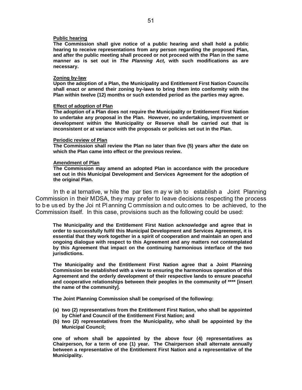## **Public hearing**

**The Commission shall give notice of a public hearing and shall hold a public hearing to receive representations from any person regarding the proposed Plan, and after the public meeting shall proceed or not proceed with the Plan in the same manner as is set out in** *The Planning Act,* **with such modifications as are necessary.**

#### **Zoning by-law**

**Upon the adoption of a Plan, the Municipality and Entitlement First Nation Councils shall enact or amend their zoning by-laws to bring them into conformity with the Plan within twelve (12) months or such extended period as the parties may agree.**

#### **Effect of adoption of Plan**

**The adoption of a Plan does not require the Municipality or Entitlement First Nation to undertake any proposal in the Plan. However, no undertaking, improvement or development within the Municipality or Reserve shall be carried out that is inconsistent or at variance with the proposals or policies set out in the Plan.**

#### **Periodic review of Plan**

**The Commission shall review the Plan no later than five (5) years after the date on which the Plan came into effect or the previous review.**

## **Amendment of Plan**

**The Commission may amend an adopted Plan in accordance with the procedure set out in this Municipal Development and Services Agreement for the adoption of the original Plan.**

In th e al ternative, w hile the par ties m ay w ish to establish a Joint Planning Commission in their MDSA, they may prefer to leave decisions respecting the process to be used by the Joi nt Planning C ommission and outcomes to be achieved, to the Commission itself. In this case, provisions such as the following could be used:

**The Municipality and the Entitlement First Nation acknowledge and agree that in order to successfully fulfil this Municipal Development and Services Agreement, it is essential that they work together in a spirit of cooperation and maintain an open and ongoing dialogue with respect to this Agreement and any matters not contemplated by this Agreement that impact on the continuing harmonious interface of the two jurisdictions.**

**The Municipality and the Entitlement First Nation agree that a Joint Planning Commission be established with a view to ensuring the harmonious operation of this Agreement and the orderly development of their respective lands to ensure peaceful and cooperative relationships between their peoples in the community of \*\*\*\* [insert the name of the community].**

**The Joint Planning Commission shall be comprised of the following:**

- **(a) two (2) representatives from the Entitlement First Nation, who shall be appointed by Chief and Council of the Entitlement First Nation; and**
- **(b) two (2) representatives from the Municipality, who shall be appointed by the Municipal Council;**

**one of whom shall be appointed by the above four (4) representatives as Chairperson, for a term of one (1) year. The Chairperson shall alternate annually between a representative of the Entitlement First Nation and a representative of the Municipality.**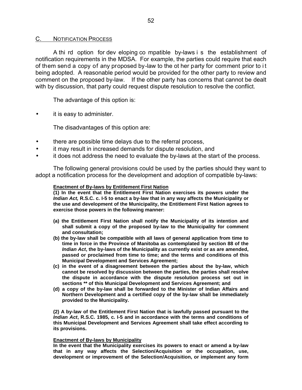## C. NOTIFICATION PROCESS

A thi rd option for dev eloping co mpatible by-laws i s the establishment of notification requirements in the MDSA. For example, the parties could require that each of them send a copy of any proposed by-law to the ot her party for comment prior to i t being adopted. A reasonable period would be provided for the other party to review and comment on the proposed by-law. If the other party has concerns that cannot be dealt with by discussion, that party could request dispute resolution to resolve the conflict.

The advantage of this option is:

it is easy to administer.

The disadvantages of this option are:

- there are possible time delays due to the referral process,
- it may result in increased demands for dispute resolution, and
- it does not address the need to evaluate the by-laws at the start of the process.

The following general provisions could be used by the parties should they want to adopt a notification process for the development and adoption of compatible by-laws:

## **Enactment of By-laws by Entitlement First Nation**

**(1) In the event that the Entitlement First Nation exercises its powers under the** *Indian Act,* **R.S.C. c. I-5 to enact a by-law that in any way affects the Municipality or the use and development of the Municipality, the Entitlement First Nation agrees to exercise those powers in the following manner:**

- **(a) the Entitlement First Nation shall notify the Municipality of its intention and shall submit a copy of the proposed by-law to the Municipality for comment and consultation;**
- **(b) the by-law shall be compatible with all laws of general application from time to time in force in the Province of Manitoba as contemplated by section 88 of the** *Indian Act***, the by-laws of the Municipality as currently exist or as are amended, passed or proclaimed from time to time; and the terms and conditions of this Municipal Development and Services Agreement;**
- **(c) in the event of a disagreement between the parties about the by-law, which cannot be resolved by discussion between the parties, the parties shall resolve the dispute in accordance with the dispute resolution process set out in sections \*\* of this Municipal Development and Services Agreement; and**
- **(d) a copy of the by-law shall be forwarded to the Minister of Indian Affairs and Northern Development and a certified copy of the by-law shall be immediately provided to the Municipality.**

**(2) A by-law of the Entitlement First Nation that is lawfully passed pursuant to the** *Indian Act***, R.S.C. 1985, c. I-5 and in accordance with the terms and conditions of this Municipal Development and Services Agreement shall take effect according to its provisions.**

## **Enactment of By-laws by Municipality**

**In the event that the Municipality exercises its powers to enact or amend a by-law that in any way affects the Selection/Acquisition or the occupation, use, development or improvement of the Selection/Acquisition, or implement any form**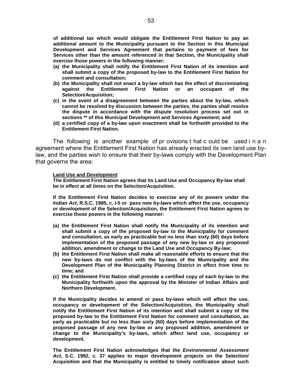**of additional tax which would obligate the Entitlement First Nation to pay an additional amount to the Municipality pursuant to the Section in this Municipal Development and Services Agreement that pertains to payment of fees for Services other than the amount referenced in that Section, the Municipality shall exercise those powers in the following manner:**

- **(a) the Municipality shall notify the Entitlement First Nation of its intention and shall submit a copy of the proposed by-law to the Entitlement First Nation for comment and consultation;**
- **(b) the Municipality shall not enact a by-law which has the effect of discriminating against the Entitlement First Nation or an occupant of the Selection/Acquisition;**
- **(c) in the event of a disagreement between the parties about the by-law, which cannot be resolved by discussion between the parties, the parties shall resolve the dispute in accordance with the dispute resolution process set out in sections \*\* of this Municipal Development and Services Agreement; and**
- **(d) a certified copy of a by-law upon enactment shall be forthwith provided to the Entitlement First Nation.**

The following is another example of pr ovisions t hat c ould be used i n a n agreement where the Entitlement First Nation has already enacted its own land use bylaw, and the parties wish to ensure that their by-laws comply with the Development Plan that governs the area:

### **Land Use and Development**

**The Entitlement First Nation agrees that its Land Use and Occupancy By-law shall be in effect at all times on the Selection/Acquisition.**

**If the Entitlement First Nation decides to exercise any of its powers under the** *Indian Act***, R.S.C. 1985, c. I-5 or pass new by-laws which affect the use, occupancy or development of the Selection/Acquisition, the Entitlement First Nation agrees to exercise those powers in the following manner:**

- **(a) the Entitlement First Nation shall notify the Municipality of its intention and shall submit a copy of the proposed by-law to the Municipality for comment and consultation, as early as practicable but no less than sixty (60) days before implementation of the proposed passage of any new by-law or any proposed addition, amendment or change to the Land Use and Occupancy By-law;**
- **(b) the Entitlement First Nation shall make all reasonable efforts to ensure that the new by-laws do not conflict with the by-laws of the Municipality and the Development Plan of the Municipality Planning District in effect from time to time; and**
- **(c) the Entitlement First Nation shall provide a certified copy of each by-law to the Municipality forthwith upon the approval by the Minister of Indian Affairs and Northern Development.**

**If the Municipality decides to amend or pass by-laws which will affect the use, occupancy or development of the Selection/Acquisition, the Municipality shall notify the Entitlement First Nation of its intention and shall submit a copy of the proposed by-law to the Entitlement First Nation for comment and consultation, as early as practicable but no less than sixty (60) days before implementation of the proposed passage of any new by-law or any proposed addition, amendment or change to the Municipality's by-laws, which affect land use, occupancy or development.**

**The Entitlement First Nation acknowledges that the** *Environmental Assessment Act***, S.C. 1992, c. 37 applies to major development projects on the Selection/ Acquisition and that the Municipality is entitled to timely notification about such**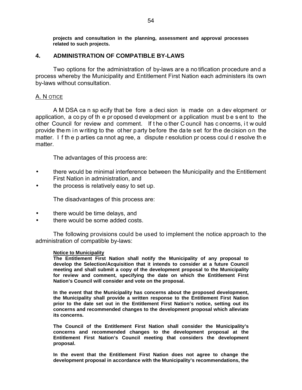**projects and consultation in the planning, assessment and approval processes related to such projects.**

# **4. ADMINISTRATION OF COMPATIBLE BY-LAWS**

Two options for the administration of by-laws are a no tification procedure and a process whereby the Municipality and Entitlement First Nation each administers its own by-laws without consultation.

# A. N OTICE

A M DSA ca n sp ecify that be fore a deci sion is made on a dev elopment or application, a co py of th e pr oposed d evelopment or a pplication must b e s ent to the other Council for review and comment. If t he o ther C ouncil has c oncerns, i t w ould provide the m in writing to the ot her party before the date set for the decision on the matter. I f th e p arties ca nnot ag ree, a dispute r esolution pr ocess coul d r esolve th e matter.

The advantages of this process are:

- there would be minimal interference between the Municipality and the Entitlement First Nation in administration, and
- the process is relatively easy to set up.

The disadvantages of this process are:

- there would be time delays, and
- there would be some added costs.

The following provisions could be used to implement the notice approach to the administration of compatible by-laws:

## **Notice to Municipality**

**The Entitlement First Nation shall notify the Municipality of any proposal to develop the Selection/Acquisition that it intends to consider at a future Council meeting and shall submit a copy of the development proposal to the Municipality for review and comment, specifying the date on which the Entitlement First Nation's Council will consider and vote on the proposal.**

**In the event that the Municipality has concerns about the proposed development, the Municipality shall provide a written response to the Entitlement First Nation prior to the date set out in the Entitlement First Nation's notice, setting out its concerns and recommended changes to the development proposal which alleviate its concerns.**

**The Council of the Entitlement First Nation shall consider the Municipality's concerns and recommended changes to the development proposal at the Entitlement First Nation's Council meeting that considers the development proposal.**

**In the event that the Entitlement First Nation does not agree to change the development proposal in accordance with the Municipality's recommendations, the**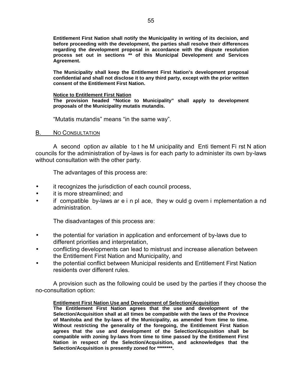**Entitlement First Nation shall notify the Municipality in writing of its decision, and before proceeding with the development, the parties shall resolve their differences regarding the development proposal in accordance with the dispute resolution process set out in sections \*\* of this Municipal Development and Services Agreement.**

**The Municipality shall keep the Entitlement First Nation's development proposal confidential and shall not disclose it to any third party, except with the prior written consent of the Entitlement First Nation.**

## **Notice to Entitlement First Nation**

**The provision headed "Notice to Municipality" shall apply to development proposals of the Municipality mutatis mutandis.**

"Mutatis mutandis" means "in the same way".

# B. NO CONSULTATION

A second option av ailable to t he M unicipality and Enti tlement Fi rst N ation councils for the administration of by-laws is for each party to administer its own by-laws without consultation with the other party.

The advantages of this process are:

- it recognizes the jurisdiction of each council process,
- it is more streamlined; and
- if compatible by-laws ar e i n pl ace, they w ould g overn i mplementation a nd administration.

The disadvantages of this process are:

- the potential for variation in application and enforcement of by-laws due to different priorities and interpretation,
- conflicting developments can lead to mistrust and increase alienation between the Entitlement First Nation and Municipality, and
- the potential conflict between Municipal residents and Entitlement First Nation residents over different rules.

A provision such as the following could be used by the parties if they choose the no-consultation option:

## **Entitlement First Nation Use and Development of Selection/Acquisition**

**The Entitlement First Nation agrees that the use and development of the Selection/Acquisition shall at all times be compatible with the laws of the Province of Manitoba and the by-laws of the Municipality, as amended from time to time. Without restricting the generality of the foregoing, the Entitlement First Nation agrees that the use and development of the Selection/Acquisition shall be compatible with zoning by-laws from time to time passed by the Entitlement First Nation in respect of the Selection/Acquisition, and acknowledges that the Selection/Acquisition is presently zoned for \*\*\*\*\*\*\*\*.**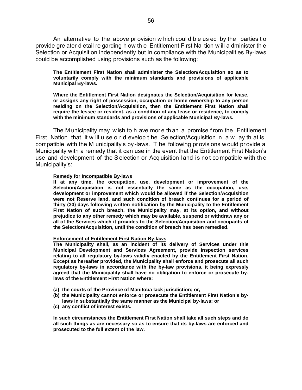An alternative to the above pr ovision w hich coul d b e us ed by the parties t o provide gre ater d etail re garding h ow th e Entitlement First Na tion w ill a dminister th e Selection or Acquisition independently but in compliance with the Municipalities By-laws could be accomplished using provisions such as the following:

**The Entitlement First Nation shall administer the Selection/Acquisition so as to voluntarily comply with the minimum standards and provisions of applicable Municipal By-laws.**

**Where the Entitlement First Nation designates the Selection/Acquisition for lease, or assigns any right of possession, occupation or home ownership to any person residing on the Selection/Acquisition, then the Entitlement First Nation shall require the lessee or resident, as a condition of any lease or residence, to comply with the minimum standards and provisions of applicable Municipal By-laws.**

The M unicipality may w ish to h ave mor e th an a promise f rom the Entitlement First Nation that it w ill u se o r d evelop t he Selection/Acquisition in a w ay th at is compatible with the M unicipality's by -laws. T he following pr ovisions w ould pr ovide a Municipality with a remedy that it can use in the event that the Entitlement First Nation's use and development of the S election or Acq uisition l and i s no t co mpatible w ith th e Municipality's:

## **Remedy for Incompatible By-laws**

**If at any time, the occupation, use, development or improvement of the Selection/Acquisition is not essentially the same as the occupation, use, development or improvement which would be allowed if the Selection/Acquisition were not Reserve land, and such condition of breach continues for a period of thirty (30) days following written notification by the Municipality to the Entitlement First Nation of such breach, the Municipality may, at its option, and without prejudice to any other remedy which may be available, suspend or withdraw any or all of the Services which it provides to the Selection/Acquisition and occupants of the Selection/Acquisition, until the condition of breach has been remedied.**

### **Enforcement of Entitlement First Nation By-laws**

**The Municipality shall, as an incident of its delivery of Services under this Municipal Development and Services Agreement, provide inspection services relating to all regulatory by-laws validly enacted by the Entitlement First Nation. Except as hereafter provided, the Municipality shall enforce and prosecute all such regulatory by-laws in accordance with the by-law provisions, it being expressly agreed that the Municipality shall have no obligation to enforce or prosecute bylaws of the Entitlement First Nation where:**

- **(a) the courts of the Province of Manitoba lack jurisdiction; or,**
- **(b) the Municipality cannot enforce or prosecute the Entitlement First Nation's bylaws in substantially the same manner as the Municipal by-laws; or**
- **(c) any conflict of interest exists.**

**In such circumstances the Entitlement First Nation shall take all such steps and do all such things as are necessary so as to ensure that its by-laws are enforced and prosecuted to the full extent of the law.**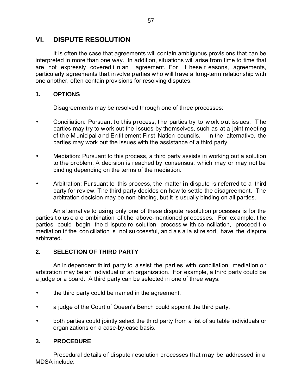# **VI. DISPUTE RESOLUTION**

It is often the case that agreements will contain ambiguous provisions that can be interpreted in more than one way. In addition, situations will arise from time to time that are not expressly covered i n an agreement. For t hese r easons, agreements, particularly agreements that involve parties who will have a long-term relationship with one another, often contain provisions for resolving disputes.

# **1. OPTIONS**

Disagreements may be resolved through one of three processes:

- Conciliation: Pursuant to this p rocess, the parties try to w ork out issues. The parties may try to work out the issues by themselves, such as at a joint meeting of th e M unicipal a nd En titlement Fir st Nation councils. In the alternative, the parties may work out the issues with the assistance of a third party.
- Mediation: Pursuant to this process, a third party assists in working out a solution to the problem. A decision is reached by consensus, which may or may not be binding depending on the terms of the mediation.
- Arbitration: Pursuant to this process, the matter in dispute is referred to a third party for review. The third party decides on how to settle the disagreement. The arbitration decision may be non-binding, but it is usually binding on all parties.

An alternative to using only one of these dispute resolution processes is for the parties to use a c ombination of the above-mentioned processes. For ex ample, the parties could begin the d ispute re solution process w ith co nciliation, proceed t o mediation if the con ciliation is not su ccessful, and a s a la st re sort, have the dispute arbitrated.

# **2. SELECTION OF THIRD PARTY**

An in dependent th ird party to a ssist the parties with conciliation, mediation o r arbitration may be an individual or an organization. For example, a third party could be a judge or a board. A third party can be selected in one of three ways:

- the third party could be named in the agreement.
- a judge of the Court of Queen's Bench could appoint the third party.
- both parties could jointly select the third party from a list of suitable individuals or organizations on a case-by-case basis.

# **3. PROCEDURE**

Procedural details of dispute resolution processes that may be addressed in a MDSA include: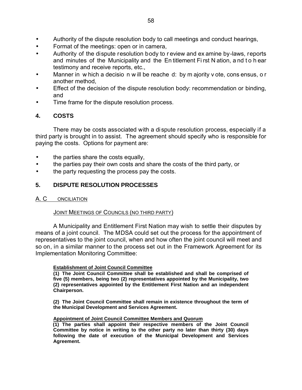- Authority of the dispute resolution body to call meetings and conduct hearings,
- Format of the meetings: open or in camera,
- Authority of the dispute resolution body to r eview and ex amine by-laws, reports and minutes of the Municipality and the En titlement Fi rst N ation, a nd t o h ear testimony and receive reports, etc.,
- Manner in w hich a decisio n w ill be reache d: by m ajority v ote, cons ensus, o r another method,
- Effect of the decision of the dispute resolution body: recommendation or binding, and
- Time frame for the dispute resolution process.

# **4. COSTS**

There may be costs associated with a dispute resolution process, especially if a third party is brought in to assist. The agreement should specify who is responsible for paying the costs. Options for payment are:

- the parties share the costs equally,
- the parties pay their own costs and share the costs of the third party, or
- the party requesting the process pay the costs.

# **5. DISPUTE RESOLUTION PROCESSES**

# A. C ONCILIATION

# JOINT MEETINGS OF COUNCILS (NO THIRD PARTY)

A Municipality and Entitlement First Nation may wish to settle their disputes by means of a joint council. The MDSA could set out the process for the appointment of representatives to the joint council, when and how often the joint council will meet and so on, in a similar manner to the process set out in the Framework Agreement for its Implementation Monitoring Committee:

# **Establishment of Joint Council Committee**

**(1) The Joint Council Committee shall be established and shall be comprised of five (5) members, being two (2) representatives appointed by the Municipality, two (2) representatives appointed by the Entitlement First Nation and an independent Chairperson.**

**(2) The Joint Council Committee shall remain in existence throughout the term of the Municipal Development and Services Agreement.**

# **Appointment of Joint Council Committee Members and Quorum**

**(1) The parties shall appoint their respective members of the Joint Council Committee by notice in writing to the other party no later than thirty (30) days following the date of execution of the Municipal Development and Services Agreement.**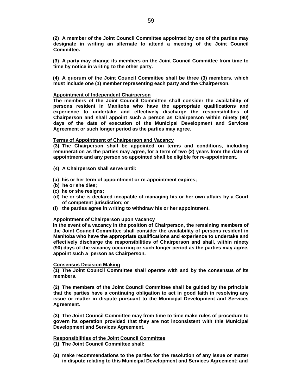**(2) A member of the Joint Council Committee appointed by one of the parties may designate in writing an alternate to attend a meeting of the Joint Council Committee.**

**(3) A party may change its members on the Joint Council Committee from time to time by notice in writing to the other party.**

**(4) A quorum of the Joint Council Committee shall be three (3) members, which must include one (1) member representing each party and the Chairperson.**

## **Appointment of Independent Chairperson**

**The members of the Joint Council Committee shall consider the availability of persons resident in Manitoba who have the appropriate qualifications and experience to undertake and effectively discharge the responsibilities of Chairperson and shall appoint such a person as Chairperson within ninety (90) days of the date of execution of the Municipal Development and Services Agreement or such longer period as the parties may agree.**

### **Terms of Appointment of Chairperson and Vacancy**

**(3) The Chairperson shall be appointed on terms and conditions, including remuneration as the parties may agree, for a term of two (2) years from the date of appointment and any person so appointed shall be eligible for re-appointment.**

- **(4) A Chairperson shall serve until:**
- **(a) his or her term of appointment or re-appointment expires;**
- **(b) he or she dies;**
- **(c) he or she resigns;**
- **(d) he or she is declared incapable of managing his or her own affairs by a Court of competent jurisdiction; or**
- **(f) the parties agree in writing to withdraw his or her appointment.**

## **Appointment of Chairperson upon Vacancy**

**In the event of a vacancy in the position of Chairperson, the remaining members of the Joint Council Committee shall consider the availability of persons resident in Manitoba who have the appropriate qualifications and experience to undertake and effectively discharge the responsibilities of Chairperson and shall, within ninety (90) days of the vacancy occurring or such longer period as the parties may agree, appoint such a person as Chairperson.**

## **Consensus Decision Making**

**(1) The Joint Council Committee shall operate with and by the consensus of its members.**

**(2) The members of the Joint Council Committee shall be guided by the principle that the parties have a continuing obligation to act in good faith in resolving any issue or matter in dispute pursuant to the Municipal Development and Services Agreement.**

**(3) The Joint Council Committee may from time to time make rules of procedure to govern its operation provided that they are not inconsistent with this Municipal Development and Services Agreement.**

## **Responsibilities of the Joint Council Committee**

- **(1) The Joint Council Committee shall:**
- **(a) make recommendations to the parties for the resolution of any issue or matter in dispute relating to this Municipal Development and Services Agreement; and**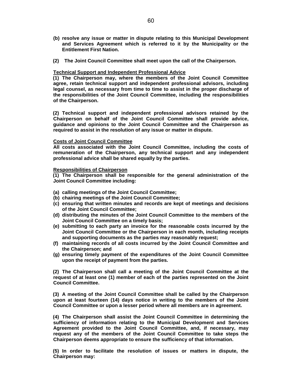- **(b) resolve any issue or matter in dispute relating to this Municipal Development and Services Agreement which is referred to it by the Municipality or the Entitlement First Nation.**
- **(2) The Joint Council Committee shall meet upon the call of the Chairperson.**

## **Technical Support and Independent Professional Advice**

**(1) The Chairperson may, where the members of the Joint Council Committee agree, retain technical support and independent professional advisors, including legal counsel, as necessary from time to time to assist in the proper discharge of the responsibilities of the Joint Council Committee, including the responsibilities of the Chairperson.**

**(2) Technical support and independent professional advisors retained by the Chairperson on behalf of the Joint Council Committee shall provide advice, guidance and opinions to the Joint Council Committee and the Chairperson as required to assist in the resolution of any issue or matter in dispute.**

## **Costs of Joint Council Committee**

**All costs associated with the Joint Council Committee, including the costs of remuneration of the Chairperson, any technical support and any independent professional advice shall be shared equally by the parties.**

## **Responsibilities of Chairperson**

**(1) The Chairperson shall be responsible for the general administration of the Joint Council Committee including:**

- **(a) calling meetings of the Joint Council Committee;**
- **(b) chairing meetings of the Joint Council Committee;**
- **(c) ensuring that written minutes and records are kept of meetings and decisions of the Joint Council Committee;**
- **(d) distributing the minutes of the Joint Council Committee to the members of the Joint Council Committee on a timely basis;**
- **(e) submitting to each party an invoice for the reasonable costs incurred by the Joint Council Committee or the Chairperson in each month, including receipts and supporting documents as the parties may reasonably request;**
- **(f) maintaining records of all costs incurred by the Joint Council Committee and the Chairperson; and**
- **(g) ensuring timely payment of the expenditures of the Joint Council Committee upon the receipt of payment from the parties.**

**(2) The Chairperson shall call a meeting of the Joint Council Committee at the request of at least one (1) member of each of the parties represented on the Joint Council Committee.**

**(3) A meeting of the Joint Council Committee shall be called by the Chairperson upon at least fourteen (14) days notice in writing to the members of the Joint Council Committee or upon a lesser period where all members are in agreement.**

**(4) The Chairperson shall assist the Joint Council Committee in determining the sufficiency of information relating to the Municipal Development and Services Agreement provided to the Joint Council Committee, and, if necessary, may request any of the members of the Joint Council Committee to take steps the Chairperson deems appropriate to ensure the sufficiency of that information.**

**(5) In order to facilitate the resolution of issues or matters in dispute, the Chairperson may:**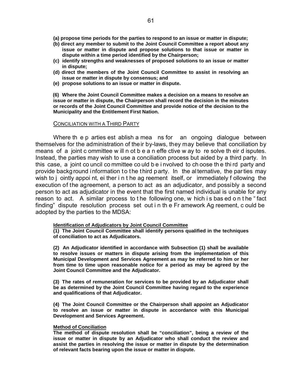- **(a) propose time periods for the parties to respond to an issue or matter in dispute;**
- **(b) direct any member to submit to the Joint Council Committee a report about any issue or matter in dispute and propose solutions to that issue or matter in dispute within a time period identified by the Chairperson;**
- **(c) identify strengths and weaknesses of proposed solutions to an issue or matter in dispute;**
- **(d) direct the members of the Joint Council Committee to assist in resolving an issue or matter in dispute by consensus; and**
- **(e) propose solutions to an issue or matter in dispute.**

**(6) Where the Joint Council Committee makes a decision on a means to resolve an issue or matter in dispute, the Chairperson shall record the decision in the minutes or records of the Joint Council Committee and provide notice of the decision to the Municipality and the Entitlement First Nation.**

## CONCILIATION WITH A THIRD PARTY

Where the p arties est ablish a mea ns for an ongoing dialogue between themselves for the administration of their by-laws, they may believe that conciliation by means of a joint c ommittee w ill n ot b e a n effe ctive w ay to re solve th eir d isputes. Instead, the parties may wish to use a conciliation process but aided by a third party. In this case, a joint co uncil co mmittee co uld b e i nvolved to ch oose th e thi rd party and provide background information to the third party. In the alternative, the parties may wish to j ointly appoi nt, ei ther i n t he ag reement itself, or immediately f ollowing the execution of the agreement, a person to act as an adjudicator, and possibly a second person to act as adjudicator in the event that the first named individual is unable for any reason to act. A similar process to t he following one, w hich i s bas ed o n t he " fact finding" dispute resolution process set out i n th e Fr amework Ag reement, c ould be adopted by the parties to the MDSA:

## **Identification of Adjudicators by Joint Council Committee**

**(1) The Joint Council Committee shall identify persons qualified in the techniques of conciliation to act as Adjudicators.**

**(2) An Adjudicator identified in accordance with Subsection (1) shall be available to resolve issues or matters in dispute arising from the implementation of this Municipal Development and Services Agreement as may be referred to him or her from time to time upon reasonable notice for a period as may be agreed by the Joint Council Committee and the Adjudicator.**

**(3) The rates of remuneration for services to be provided by an Adjudicator shall be as determined by the Joint Council Committee having regard to the experience and qualifications of that Adjudicator.**

**(4) The Joint Council Committee or the Chairperson shall appoint an Adjudicator to resolve an issue or matter in dispute in accordance with this Municipal Development and Services Agreement.**

## **Method of Conciliation**

**The method of dispute resolution shall be "conciliation", being a review of the issue or matter in dispute by an Adjudicator who shall conduct the review and assist the parties in resolving the issue or matter in dispute by the determination of relevant facts bearing upon the issue or matter in dispute.**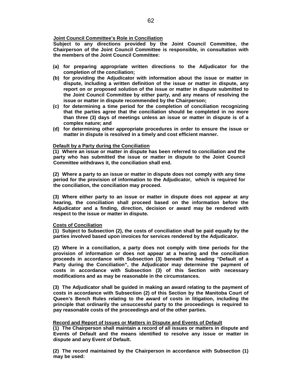## **Joint Council Committee's Role in Conciliation**

**Subject to any directions provided by the Joint Council Committee, the Chairperson of the Joint Council Committee is responsible, in consultation with the members of the Joint Council Committee:**

- **(a) for preparing appropriate written directions to the Adjudicator for the completion of the conciliation;**
- **(b) for providing the Adjudicator with information about the issue or matter in dispute, including a written definition of the issue or matter in dispute, any report on or proposed solution of the issue or matter in dispute submitted to the Joint Council Committee by either party, and any means of resolving the issue or matter in dispute recommended by the Chairperson;**
- **(c) for determining a time period for the completion of conciliation recognizing that the parties agree that the conciliation should be completed in no more than three (3) days of meetings unless an issue or matter in dispute is of a complex nature; and**
- **(d) for determining other appropriate procedures in order to ensure the issue or matter in dispute is resolved in a timely and cost efficient manner.**

## **Default by a Party during the Conciliation**

**(1) Where an issue or matter in dispute has been referred to conciliation and the party who has submitted the issue or matter in dispute to the Joint Council Committee withdraws it, the conciliation shall end.**

**(2) Where a party to an issue or matter in dispute does not comply with any time period for the provision of information to the Adjudicator, which is required for the conciliation, the conciliation may proceed.**

**(3) Where either party to an issue or matter in dispute does not appear at any hearing, the conciliation shall proceed based on the information before the Adjudicator and a finding, direction, decision or award may be rendered with respect to the issue or matter in dispute.**

### **Costs of Conciliation**

**(1) Subject to Subsection (2), the costs of conciliation shall be paid equally by the parties involved based upon invoices for services rendered by the Adjudicator.**

**(2) Where in a conciliation, a party does not comply with time periods for the provision of information or does not appear at a hearing and the conciliation proceeds in accordance with Subsection (3) beneath the heading "Default of a Party during the Conciliation", the Adjudicator may determine the payment of costs in accordance with Subsection (3) of this Section with necessary modifications and as may be reasonable in the circumstances.**

**(3) The Adjudicator shall be guided in making an award relating to the payment of costs in accordance with Subsection (2) of this Section by the Manitoba Court of Queen's Bench Rules relating to the award of costs in litigation, including the principle that ordinarily the unsuccessful party to the proceedings is required to pay reasonable costs of the proceedings and of the other parties.**

## **Record and Report of Issues or Matters in Dispute and Events of Default**

**(1) The Chairperson shall maintain a record of all issues or matters in dispute and Events of Default and the means identified to resolve any issue or matter in dispute and any Event of Default.**

**(2) The record maintained by the Chairperson in accordance with Subsection (1) may be used:**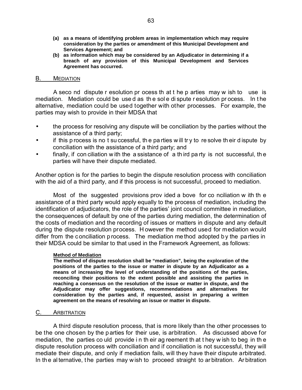- **(a) as a means of identifying problem areas in implementation which may require consideration by the parties or amendment of this Municipal Development and Services Agreement; and**
- **(b) as information which may be considered by an Adjudicator in determining if a breach of any provision of this Municipal Development and Services Agreement has occurred.**

## B. MEDIATION

A seco nd dispute r esolution pr ocess th at t he p arties may w ish to use is mediation. Mediation could be use d as th e sol e di spute r esolution pr ocess. In t he alternative, mediation could be used together with other processes. For example, the parties may wish to provide in their MDSA that

- the process for resolving any dispute will be conciliation by the parties without the assistance of a third party;
- if this p rocess is no t su ccessful, th e pa rties w ill tr y to re solve th eir d ispute by conciliation with the assistance of a third party; and
- finally, if con ciliation w ith the a ssistance of a th ird pa rty is not successful, the parties will have their dispute mediated.

Another option is for the parties to begin the dispute resolution process with conciliation with the aid of a third party, and if this process is not successful, proceed to mediation.

Most of the suggested provisions prov ided a bove for co nciliation w ith th e assistance of a third party would apply equally to the process of mediation, including the identification of adjudicators, the role of the parties' joint council committee in mediation, the consequences of default by one of the parties during mediation, the determination of the costs of mediation and the recording of issues or matters in dispute and any default during the dispute resolution process. H owever the method used for mediation would differ from the conciliation p rocess. The mediation me thod adopted b y the pa rties in their MDSA could be similar to that used in the Framework Agreement, as follows:

# **Method of Mediation**

**The method of dispute resolution shall be "mediation", being the exploration of the positions of the parties to the issue or matter in dispute by an Adjudicator as a means of increasing the level of understanding of the positions of the parties, reconciling their positions to the extent possible and assisting the parties in reaching a consensus on the resolution of the issue or matter in dispute, and the Adjudicator may offer suggestions, recommendations and alternatives for consideration by the parties and, if requested, assist in preparing a written agreement on the means of resolving an issue or matter in dispute.**

# C. ARBITRATION

A third dispute resolution process, that is more likely than the other processes to be the one chosen by the p arties for their use, is arbitration. As discussed above for mediation, the parties co uld provide i n th eir ag reement th at t hey w ish to beg in th e dispute resolution process with conciliation and if conciliation is not successful, they will mediate their dispute, and only if mediation fails, will they have their dispute arbitrated. In the alternative, the parties may w ish to proceed straight to ar bitration. Ar bitration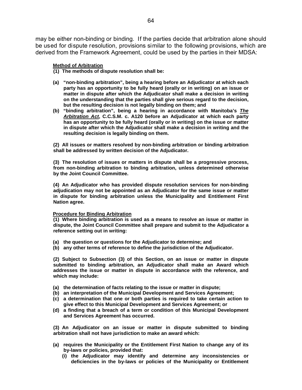may be either non-binding or binding. If the parties decide that arbitration alone should be used for dispute resolution, provisions similar to the following provisions, which are derived from the Framework Agreement, could be used by the parties in their MDSA:

## **Method of Arbitration**

- **(1) The methods of dispute resolution shall be:**
- **(a) "non-binding arbitration", being a hearing before an Adjudicator at which each party has an opportunity to be fully heard (orally or in writing) on an issue or matter in dispute after which the Adjudicator shall make a decision in writing on the understanding that the parties shall give serious regard to the decision, but the resulting decision is not legally binding on them; and**
- **(b) "binding arbitration", being a hearing in accordance with Manitoba's** *The Arbitration Act***, C.C.S.M. c. A120 before an Adjudicator at which each party has an opportunity to be fully heard (orally or in writing) on the issue or matter in dispute after which the Adjudicator shall make a decision in writing and the resulting decision is legally binding on them.**

**(2) All issues or matters resolved by non-binding arbitration or binding arbitration shall be addressed by written decision of the Adjudicator.**

**(3) The resolution of issues or matters in dispute shall be a progressive process, from non-binding arbitration to binding arbitration, unless determined otherwise by the Joint Council Committee.**

**(4) An Adjudicator who has provided dispute resolution services for non-binding adjudication may not be appointed as an Adjudicator for the same issue or matter in dispute for binding arbitration unless the Municipality and Entitlement First Nation agree.**

## **Procedure for Binding Arbitration**

**(1) Where binding arbitration is used as a means to resolve an issue or matter in dispute, the Joint Council Committee shall prepare and submit to the Adjudicator a reference setting out in writing:**

- **(a) the question or questions for the Adjudicator to determine; and**
- **(b) any other terms of reference to define the jurisdiction of the Adjudicator.**

**(2) Subject to Subsection (3) of this Section, on an issue or matter in dispute submitted to binding arbitration, an Adjudicator shall make an Award which addresses the issue or matter in dispute in accordance with the reference, and which may include:**

- **(a) the determination of facts relating to the issue or matter in dispute;**
- **(b) an interpretation of the Municipal Development and Services Agreement;**
- **(c) a determination that one or both parties is required to take certain action to give effect to this Municipal Development and Services Agreement; or**
- **(d) a finding that a breach of a term or condition of this Municipal Development and Services Agreement has occurred.**

**(3) An Adjudicator on an issue or matter in dispute submitted to binding arbitration shall not have jurisdiction to make an award which:**

- **(a) requires the Municipality or the Entitlement First Nation to change any of its by-laws or policies, provided that:**
	- **(i) the Adjudicator may identify and determine any inconsistencies or deficiencies in the by-laws or policies of the Municipality or Entitlement**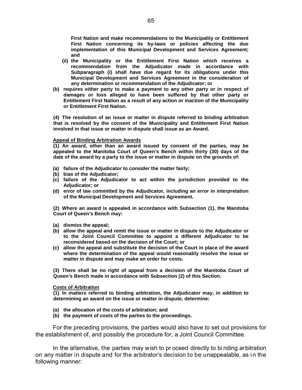**First Nation and make recommendations to the Municipality or Entitlement First Nation concerning its by-laws or policies affecting the due implementation of this Municipal Development and Services Agreement; and**

- **(ii) the Municipality or the Entitlement First Nation which receives a recommendation from the Adjudicator made in accordance with Subparagraph (i) shall have due regard for its obligations under this Municipal Development and Services Agreement in the consideration of any determination or recommendation of the Adjudicator; or**
- **(b) requires either party to make a payment to any other party or in respect of damages or loss alleged to have been suffered by that other party or Entitlement First Nation as a result of any action or inaction of the Municipality or Entitlement First Nation.**

**(4) The resolution of an issue or matter in dispute referred to binding arbitration that is resolved by the consent of the Municipality and Entitlement First Nation involved in that issue or matter in dispute shall issue as an Award.**

## **Appeal of Binding Arbitration Awards**

**(1) An award, other than an award issued by consent of the parties, may be appealed to the Manitoba Court of Queen's Bench within thirty (30) days of the date of the award by a party to the issue or matter in dispute on the grounds of:**

- **(a) failure of the Adjudicator to consider the matter fairly;**
- **(b) bias of the Adjudicator;**
- **(c) failure of the Adjudicator to act within the jurisdiction provided to the Adjudicator; or**
- **(d) error of law committed by the Adjudicator, including an error in interpretation of the Municipal Development and Services Agreement.**

**(2) Where an award is appealed in accordance with Subsection (1), the Manitoba Court of Queen's Bench may:**

- **(a) dismiss the appeal;**
- **(b) allow the appeal and remit the issue or matter in dispute to the Adjudicator or to the Joint Council Committee to appoint a different Adjudicator to be reconsidered based on the decision of the Court; or**
- **(c) allow the appeal and substitute the decision of the Court in place of the award where the determination of the appeal would reasonably resolve the issue or matter in dispute and may make an order for costs.**

**(3) There shall be no right of appeal from a decision of the Manitoba Court of Queen's Bench made in accordance with Subsection (2) of this Section.**

### **Costs of Arbitration**

**(1) In matters referred to binding arbitration, the Adjudicator may, in addition to determining an award on the issue or matter in dispute, determine:**

- **(a) the allocation of the costs of arbitration; and**
- **(b) the payment of costs of the parties to the proceedings.**

For the preceding provisions, the parties would also have to set out provisions for the establishment of, and possibly the procedure for, a Joint Council Committee.

In the alternative, the parties may wish to pr oceed directly to bi nding arbitration on any matter in dispute and for the arbitrator's decision to be unappealable, as i n the following manner: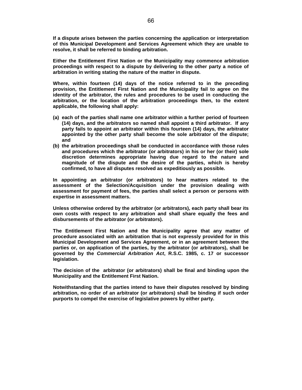**If a dispute arises between the parties concerning the application or interpretation of this Municipal Development and Services Agreement which they are unable to resolve, it shall be referred to binding arbitration.**

**Either the Entitlement First Nation or the Municipality may commence arbitration proceedings with respect to a dispute by delivering to the other party a notice of arbitration in writing stating the nature of the matter in dispute.**

**Where, within fourteen (14) days of the notice referred to in the preceding provision, the Entitlement First Nation and the Municipality fail to agree on the identity of the arbitrator, the rules and procedures to be used in conducting the arbitration, or the location of the arbitration proceedings then, to the extent applicable, the following shall apply:**

- **(a) each of the parties shall name one arbitrator within a further period of fourteen (14) days, and the arbitrators so named shall appoint a third arbitrator. If any party fails to appoint an arbitrator within this fourteen (14) days, the arbitrator appointed by the other party shall become the sole arbitrator of the dispute; and**
- **(b) the arbitration proceedings shall be conducted in accordance with those rules and procedures which the arbitrator (or arbitrators) in his or her (or their) sole discretion determines appropriate having due regard to the nature and magnitude of the dispute and the desire of the parties, which is hereby confirmed, to have all disputes resolved as expeditiously as possible.**

**In appointing an arbitrator (or arbitrators) to hear matters related to the assessment of the Selection/Acquisition under the provision dealing with assessment for payment of fees, the parties shall select a person or persons with expertise in assessment matters.**

**Unless otherwise ordered by the arbitrator (or arbitrators), each party shall bear its own costs with respect to any arbitration and shall share equally the fees and disbursements of the arbitrator (or arbitrators).**

**The Entitlement First Nation and the Municipality agree that any matter of procedure associated with an arbitration that is not expressly provided for in this Municipal Development and Services Agreement, or in an agreement between the parties or, on application of the parties, by the arbitrator (or arbitrators), shall be governed by the** *Commercial Arbitration Act***, R.S.C. 1985, c. 17 or successor legislation.**

**The decision of the arbitrator (or arbitrators) shall be final and binding upon the Municipality and the Entitlement First Nation.**

**Notwithstanding that the parties intend to have their disputes resolved by binding arbitration, no order of an arbitrator (or arbitrators) shall be binding if such order purports to compel the exercise of legislative powers by either party.**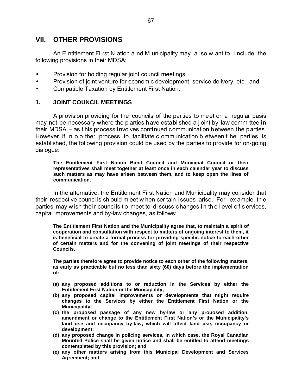# **VII. OTHER PROVISIONS**

An E ntitlement Fi rst N ation a nd M unicipality may al so w ant to i nclude the following provisions in their MDSA:

- Provision for holding regular joint council meetings,
- Provision of joint venture for economic development, service delivery, etc., and
- Compatible Taxation by Entitlement First Nation.

# **1. JOINT COUNCIL MEETINGS**

A provision providing for the councils of the parties to meet on a regular basis may not be necessary where the p arties have established a j oint by-law committee in their MDSA – as t his process involves continued communication between the parties. However, if n o o ther process to facilitate c ommunication b etween t he parties is established, the following provision could be used by the parties to provide for on-going dialogue:

**The Entitlement First Nation Band Council and Municipal Council or their representatives shall meet together at least once in each calendar year to discuss such matters as may have arisen between them, and to keep open the lines of communication.**

In the alternative, the Entitlement First Nation and Municipality may consider that their respective counci ls sh ould m eet w hen cer tain i ssues arise. For ex ample, th e parties may w ish their councils to meet to discuss changes in the level of services, capital improvements and by-law changes, as follows:

**The Entitlement First Nation and the Municipality agree that, to maintain a spirit of cooperation and consultation with respect to matters of ongoing interest to them, it is beneficial to create a formal process for providing specific notice to each other of certain matters and for the convening of joint meetings of their respective Councils.**

**The parties therefore agree to provide notice to each other of the following matters, as early as practicable but no less than sixty (60) days before the implementation of:**

- **(a) any proposed additions to or reduction in the Services by either the Entitlement First Nation or the Municipality;**
- **(b) any proposed capital improvements or developments that might require changes to the Services by either the Entitlement First Nation or the Municipality;**
- **(c) the proposed passage of any new by-law or any proposed addition, amendment or change to the Entitlement First Nation's or the Municipality's land use and occupancy by-law, which will affect land use, occupancy or development;**
- **(d) any proposed change in policing services, in which case, the Royal Canadian Mounted Police shall be given notice and shall be entitled to attend meetings contemplated by this provision; and**
- **(e) any other matters arising from this Municipal Development and Services Agreement; and**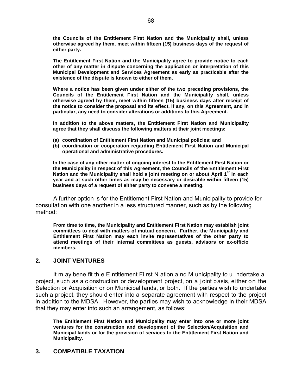**the Councils of the Entitlement First Nation and the Municipality shall, unless otherwise agreed by them, meet within fifteen (15) business days of the request of either party.**

**The Entitlement First Nation and the Municipality agree to provide notice to each other of any matter in dispute concerning the application or interpretation of this Municipal Development and Services Agreement as early as practicable after the existence of the dispute is known to either of them.**

**Where a notice has been given under either of the two preceding provisions, the Councils of the Entitlement First Nation and the Municipality shall, unless otherwise agreed by them, meet within fifteen (15) business days after receipt of the notice to consider the proposal and its effect, if any, on this Agreement, and in particular, any need to consider alterations or additions to this Agreement.**

**In addition to the above matters, the Entitlement First Nation and Municipality agree that they shall discuss the following matters at their joint meetings:**

- **(a) coordination of Entitlement First Nation and Municipal policies; and**
- **(b) coordination or cooperation regarding Entitlement First Nation and Municipal operational and administrative procedures.**

**In the case of any other matter of ongoing interest to the Entitlement First Nation or the Municipality in respect of this Agreement, the Councils of the Entitlement First Nation and the Municipality shall hold a joint meeting on or about April 1st in each year and at such other times as may be necessary or desirable within fifteen (15) business days of a request of either party to convene a meeting.**

A further option is for the Entitlement First Nation and Municipality to provide for consultation with one another in a less structured manner, such as by the following method:

**From time to time, the Municipality and Entitlement First Nation may establish joint committees to deal with matters of mutual concern. Further, the Municipality and Entitlement First Nation may each invite representatives of the other party to attend meetings of their internal committees as guests, advisors or ex-officio members.**

# **2. JOINT VENTURES**

It m ay bene fit th e E ntitlement Fi rst N ation a nd M unicipality to u ndertake a project, such as a c onstruction or development project, on a j oint basis, either on the Selection or Acquisition or on Municipal lands, or both. If the parties wish to undertake such a project, they should enter into a separate agreement with respect to the project in addition to the MDSA. However, the parties may wish to acknowledge in their MDSA that they may enter into such an arrangement, as follows:

**The Entitlement First Nation and Municipality may enter into one or more joint ventures for the construction and development of the Selection/Acquisition and Municipal lands or for the provision of services to the Entitlement First Nation and Municipality.**

# **3. COMPATIBLE TAXATION**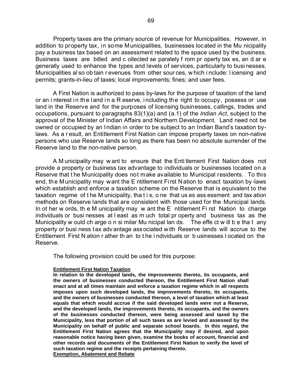Property taxes are the primary source of revenue for Municipalities. However, in addition to property tax, in some Municipalities, businesses located in the Mu nicipality pay a business tax based on an assessment related to the space used by the business. Business taxes are billed and c ollected se parately f rom pr operty tax es, an d ar e generally used to enhance the types and levels of services, particularly to busi nesses. Municipalities al so ob tain r evenues from other sour ces, w hich i nclude: l icensing and permits; grants-in-lieu of taxes; local improvements; fines; and user fees.

A First Nation is authorized to pass by-laws for the purpose of taxation of the land or an i nterest in the land in a R eserve, including the right to occupy, possess or use land in the Reserve and for the purposes of licensing businesses, callings, trades and occupations, pursuant to paragraphs 83(1)(a) and (a.1) of the *Indian Act*, subject to the approval of the Minister of Indian Affairs and Northern Development. Land need not be owned or occupied by an Indian in order to be subject to an Indian Band's taxation bylaws. As a r esult, an Entitlement First Nation can impose property taxes on non-native persons who use Reserve lands so long as there has been no absolute surrender of the Reserve land to the non-native person.

A M unicipality may w ant to ensure that the Enti tlement First Nation does not provide a property or business tax advantage to individuals or businesses located on a Reserve that t he Municipality does not make available to Municipal residents. To this end, the Municipality may want the E ntitlement First Nation to enact taxation by-laws which establish and enforce a taxation scheme on the Reserve that is equivalent to the taxation regime of t he M unicipality, tha t i s, o ne that us es ass essment and tax ation methods on Reserve lands that are consistent with those used for the Municipal lands. In ot her w ords, th e M unicipality may w ant the E ntitlement Fi rst Nation to charge individuals or busi nesses at l east as m uch total pr operty and business tax as the Municipality w ould ch arge o n si milar Mu nicipal lan ds. The effe ct w ill b e tha t any property or busi ness t ax adv antage ass ociated with Reserve lands will accrue to the Entitlement First N ation r ather th an to t he i ndividuals or b usinesses l ocated on the Reserve.

The following provision could be used for this purpose:

#### **Entitlement First Nation Taxation**

**In relation to the developed lands, the improvements thereto, its occupants, and the owners of businesses conducted thereon, the Entitlement First Nation shall enact and at all times maintain and enforce a taxation regime which in all respects imposes upon such developed lands, the improvements thereto, its occupants, and the owners of businesses conducted thereon, a level of taxation which at least equals that which would accrue if the said developed lands were not a Reserve, and the developed lands, the improvements thereto, its occupants, and the owners of the businesses conducted thereon, were being assessed and taxed by the Municipality, less that portion of all such taxes as are levied and assessed by the Municipality on behalf of public and separate school boards. In this regard, the Entitlement First Nation agrees that the Municipality may if desired, and upon reasonable notice having been given, examine the books of account, financial and other records and documents of the Entitlement First Nation to verify the level of such taxation regime and the receipts pertaining thereto. Exemption, Abatement and Rebate**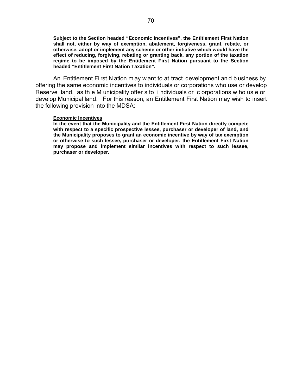**Subject to the Section headed "Economic Incentives", the Entitlement First Nation shall not, either by way of exemption, abatement, forgiveness, grant, rebate, or otherwise, adopt or implement any scheme or other initiative which would have the effect of reducing, forgiving, rebating or granting back, any portion of the taxation regime to be imposed by the Entitlement First Nation pursuant to the Section headed "Entitlement First Nation Taxation".**

An Entitlement Fi rst N ation m ay w ant to at tract development an d b usiness by offering the same economic incentives to individuals or corporations who use or develop Reserve land, as th e M unicipality offer s to i ndividuals or c orporations w ho us e or develop Municipal land. For this reason, an Entitlement First Nation may wish to insert the following provision into the MDSA:

#### **Economic Incentives**

**In the event that the Municipality and the Entitlement First Nation directly compete with respect to a specific prospective lessee, purchaser or developer of land, and the Municipality proposes to grant an economic incentive by way of tax exemption or otherwise to such lessee, purchaser or developer, the Entitlement First Nation may propose and implement similar incentives with respect to such lessee, purchaser or developer.**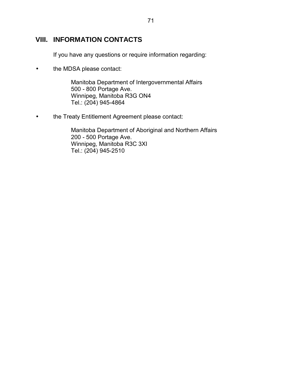# **VIII. INFORMATION CONTACTS**

If you have any questions or require information regarding:

• the MDSA please contact:

Manitoba Department of Intergovernmental Affairs 500 - 800 Portage Ave. Winnipeg, Manitoba R3G ON4 Tel.: (204) 945-4864

• the Treaty Entitlement Agreement please contact:

Manitoba Department of Aboriginal and Northern Affairs 200 - 500 Portage Ave. Winnipeg, Manitoba R3C 3XI Tel.: (204) 945-2510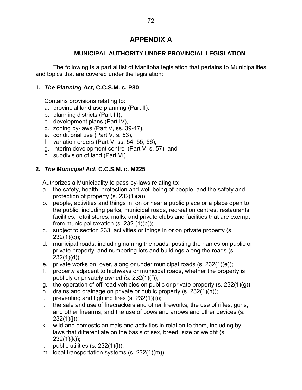# **APPENDIX A**

# **MUNICIPAL AUTHORITY UNDER PROVINCIAL LEGISLATION**

The following is a partial list of Manitoba legislation that pertains to Municipalities and topics that are covered under the legislation:

# **1.** *The Planning Act***, C.C.S.M. c. P80**

Contains provisions relating to:

- a. provincial land use planning (Part II),
- b. planning districts (Part III),
- c. development plans (Part IV),
- d. zoning by-laws (Part V, ss. 39-47),
- e. conditional use (Part V, s. 53),
- f. variation orders (Part V, ss. 54, 55, 56),
- g. interim development control (Part V, s. 57), and
- h. subdivision of land (Part VI).

### **2***. The Municipal Act***, C.C.S.M. c. M225**

Authorizes a Municipality to pass by-laws relating to:

- a. the safety, health, protection and well-being of people, and the safety and protection of property (s. 232(1)(a));
- b. people, activities and things in, on or near a public place or a place open to the public, including parks, municipal roads, recreation centres, restaurants, facilities, retail stores, malls, and private clubs and facilities that are exempt from municipal taxation (s. 232 (1)(b));
- c. subject to section 233, activities or things in or on private property (s.  $232(1)(c)$ ;
- d. municipal roads, including naming the roads, posting the names on public or private property, and numbering lots and buildings along the roads (s.  $232(1)(d)$ ;
- e. private works on, over, along or under municipal roads (s. 232(1)(e));
- f. property adjacent to highways or municipal roads, whether the property is publicly or privately owned (s. 232(1)(f));
- g. the operation of off-road vehicles on public or private property (s.  $232(1)(g)$ );
- h. drains and drainage on private or public property (s. 232(1)(h));
- i. preventing and fighting fires  $(s. 232(1)(i))$ ;
- j. the sale and use of firecrackers and other fireworks, the use of rifles, guns, and other firearms, and the use of bows and arrows and other devices (s.  $232(1)(i)$ ;
- k. wild and domestic animals and activities in relation to them, including bylaws that differentiate on the basis of sex, breed, size or weight (s.  $232(1)(k)$ :
- l. public utilities  $(s. 232(1)(l))$ ;
- m. local transportation systems (s. 232(1)(m));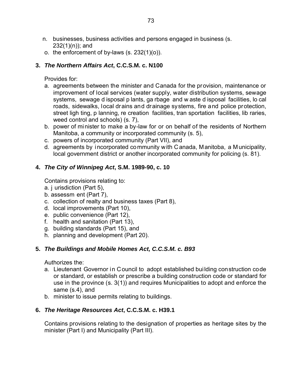- n. businesses, business activities and persons engaged in business (s.  $232(1)(n)$ ; and
- o. the enforcement of by-laws (s. 232(1)(o)).

### **3.** *The Northern Affairs Act***, C.C.S.M. c. N100**

Provides for:

- a. agreements between the minister and Canada for the provision, maintenance or improvement of local services (water supply, water distribution systems, sewage systems, sewage d isposal p lants, ga rbage and w aste d isposal facilities, lo cal roads, sidewalks, local drains and drainage systems, fire and police protection, street ligh ting, p lanning, re creation facilities, tran sportation facilities, lib raries, weed control and schools) (s. 7),
- b. power of minister to make a by-law for or on behalf of the residents of Northern Manitoba, a community or incorporated community (s. 5),
- c. powers of incorporated community (Part VII), and
- d. agreements by incorporated community with Canada, Manitoba, a Municipality, local government district or another incorporated community for policing (s. 81).

# **4.** *The City of Winnipeg Act***, S.M. 1989-90, c. 10**

Contains provisions relating to:

- a. j urisdiction (Part 5),
- b. assessm ent (Part 7),
- c. collection of realty and business taxes (Part 8),
- d. local improvements (Part 10),
- e. public convenience (Part 12),
- f. health and sanitation (Part 13),
- g. building standards (Part 15), and
- h. planning and development (Part 20).

# **5.** *The Buildings and Mobile Homes Act, C.C.S.M. c. B93*

Authorizes the:

- a. Lieutenant Governor in Council to adopt established building construction code or standard, or establish or prescribe a building construction code or standard for use in the province (s. 3(1)) and requires Municipalities to adopt and enforce the same (s.4), and
- b. minister to issue permits relating to buildings.

# **6.** *The Heritage Resources Act***, C.C.S.M. c. H39.1**

Contains provisions relating to the designation of properties as heritage sites by the minister (Part I) and Municipality (Part III).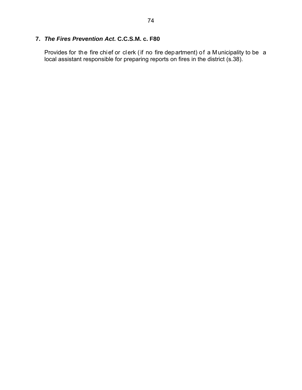# **7.** *The Fires Prevention Act***. C.C.S.M. c. F80**

Provides for the fire chief or clerk (if no fire department) of a Municipality to be a local assistant responsible for preparing reports on fires in the district (s.38).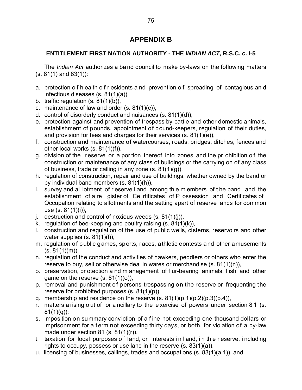# **APPENDIX B**

# **ENTITLEMENT FIRST NATION AUTHORITY - THE** *INDIAN ACT***, R.S.C. c. I-5**

The *Indian Act* authorizes a ba nd council to make by-laws on the following matters (s. 81(1) and 83(1)):

- a. protection o f h ealth o f r esidents a nd prevention o f spreading of contagious an d infectious diseases (s. 81(1)(a)),
- b. traffic regulation (s. 81(1)(b)),
- c. maintenance of law and order (s. 81(1)(c)),
- d. control of disorderly conduct and nuisances (s. 81(1)(d)),
- e. protection against and prevention of trespass by cattle and other domestic animals, establishment of pounds, appointment of pound-keepers, regulation of their duties, and provision for fees and charges for their services (s. 81(1)(e)),
- f. construction and maintenance of watercourses, roads, bridges, ditches, fences and other local works (s. 81(1)(f)),
- g. division of the reserve or a portion thereof into zones and the prohibition of the construction or maintenance of any class of buildings or the carrying on of any class of business, trade or calling in any zone (s. 81(1)(g)),
- h. regulation of construction, repair and use of buildings, whether owned by the band or by individual band members (s. 81(1)(h)),
- i. survey and al lotment of r eserve l and among th e m embers of t he band and the establishment of a re gister of Ce rtificates of P ossession and Certificates of Occupation relating to allotments and the setting apart of reserve lands for common use (s. 81(1)(i)),
- j. destruction and control of noxious weeds  $(s. 81(1)(j))$ ,
- k. regulation of bee-keeping and poultry raising (s. 81(1)(k)),
- l. construction and regulation of the use of public wells, cisterns, reservoirs and other water supplies (s. 81(1)(l)),
- m. regulation of public games, sports, races, athletic contests and other amusements  $(s. 81(1)(m))$ ,
- n. regulation of the conduct and activities of hawkers, peddlers or others who enter the reserve to buy, sell or otherwise deal in wares or merchandise (s. 81(1)(n)),
- o. preservation, pr otection a nd m anagement of f ur-bearing animals, f ish and other game on the reserve (s. 81(1)(o)),
- p. removal and punishment of persons trespassing on the reserve or frequenting the reserve for prohibited purposes (s. 81(1)(p)),
- q. membership and residence on the reserve  $(s. 81(1)(p.1)(p.2)(p.3)(p.4)),$
- r. matters a rising o ut of or a ncillary to the e xercise of powers under section 8 1 (s.  $81(1)(q)$ :
- s. imposition on summary conviction of a f ine not exceeding one thousand dollars or imprisonment for a term not exceeding thirty days, or both, for violation of a by-law made under section 81 (s.  $81(1)(r)$ ),
- t. taxation for local purposes o f l and, or i nterests i n l and, i n th e r eserve, i ncluding rights to occupy, possess or use land in the reserve (s. 83(1)(a)),
- u. licensing of businesses, callings, trades and occupations (s. 83(1)(a.1)), and